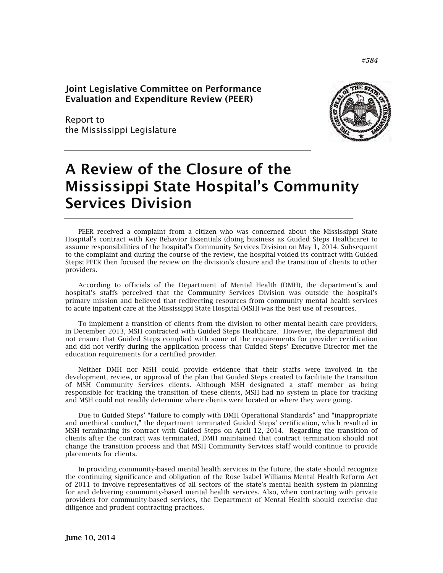Joint Legislative Committee on Performance Evaluation and Expenditure Review (PEER)

Report to the Mississippi Legislature



# A Review of the Closure of the Mississippi State Hospital's Community Services Division

PEER received a complaint from a citizen who was concerned about the Mississippi State Hospital's contract with Key Behavior Essentials (doing business as Guided Steps Healthcare) to assume responsibilities of the hospital's Community Services Division on May 1, 2014. Subsequent to the complaint and during the course of the review, the hospital voided its contract with Guided Steps; PEER then focused the review on the division's closure and the transition of clients to other providers.

According to officials of the Department of Mental Health (DMH), the department's and hospital's staffs perceived that the Community Services Division was outside the hospital's primary mission and believed that redirecting resources from community mental health services to acute inpatient care at the Mississippi State Hospital (MSH) was the best use of resources.

To implement a transition of clients from the division to other mental health care providers, in December 2013, MSH contracted with Guided Steps Healthcare. However, the department did not ensure that Guided Steps complied with some of the requirements for provider certification and did not verify during the application process that Guided Steps' Executive Director met the education requirements for a certified provider.

Neither DMH nor MSH could provide evidence that their staffs were involved in the development, review, or approval of the plan that Guided Steps created to facilitate the transition of MSH Community Services clients. Although MSH designated a staff member as being responsible for tracking the transition of these clients, MSH had no system in place for tracking and MSH could not readily determine where clients were located or where they were going.

Due to Guided Steps' "failure to comply with DMH Operational Standards" and "inappropriate and unethical conduct," the department terminated Guided Steps' certification, which resulted in MSH terminating its contract with Guided Steps on April 12, 2014. Regarding the transition of clients after the contract was terminated, DMH maintained that contract termination should not change the transition process and that MSH Community Services staff would continue to provide placements for clients.

In providing community-based mental health services in the future, the state should recognize the continuing significance and obligation of the Rose Isabel Williams Mental Health Reform Act of 2011 to involve representatives of all sectors of the state's mental health system in planning for and delivering community-based mental health services. Also, when contracting with private providers for community-based services, the Department of Mental Health should exercise due diligence and prudent contracting practices.

*#584*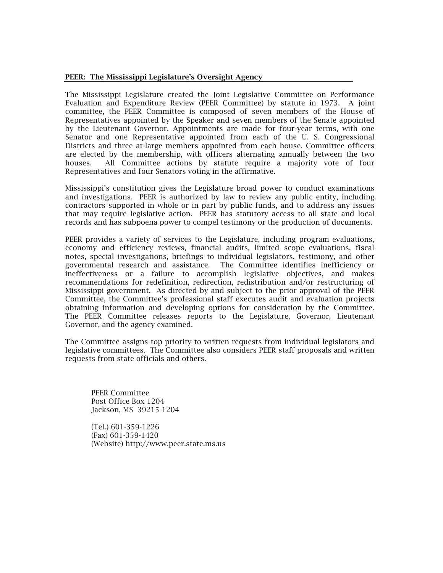#### PEER: The Mississippi Legislature's Oversight Agency

The Mississippi Legislature created the Joint Legislative Committee on Performance Evaluation and Expenditure Review (PEER Committee) by statute in 1973. A joint committee, the PEER Committee is composed of seven members of the House of Representatives appointed by the Speaker and seven members of the Senate appointed by the Lieutenant Governor. Appointments are made for four-year terms, with one Senator and one Representative appointed from each of the U. S. Congressional Districts and three at-large members appointed from each house. Committee officers are elected by the membership, with officers alternating annually between the two houses. All Committee actions by statute require a majority vote of four Representatives and four Senators voting in the affirmative.

Mississippi's constitution gives the Legislature broad power to conduct examinations and investigations. PEER is authorized by law to review any public entity, including contractors supported in whole or in part by public funds, and to address any issues that may require legislative action. PEER has statutory access to all state and local records and has subpoena power to compel testimony or the production of documents.

PEER provides a variety of services to the Legislature, including program evaluations, economy and efficiency reviews, financial audits, limited scope evaluations, fiscal notes, special investigations, briefings to individual legislators, testimony, and other governmental research and assistance. The Committee identifies inefficiency or ineffectiveness or a failure to accomplish legislative objectives, and makes recommendations for redefinition, redirection, redistribution and/or restructuring of Mississippi government. As directed by and subject to the prior approval of the PEER Committee, the Committee's professional staff executes audit and evaluation projects obtaining information and developing options for consideration by the Committee. The PEER Committee releases reports to the Legislature, Governor, Lieutenant Governor, and the agency examined.

The Committee assigns top priority to written requests from individual legislators and legislative committees. The Committee also considers PEER staff proposals and written requests from state officials and others.

PEER Committee Post Office Box 1204 Jackson, MS 39215-1204

(Tel.) 601-359-1226 (Fax) 601-359-1420 (Website) http://www.peer.state.ms.us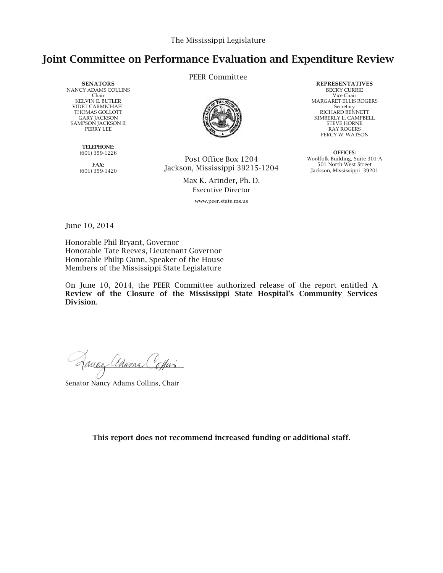# Joint Committee on Performance Evaluation and Expenditure Review

**SENATORS** NANCY ADAMS COLLINS Chair KELVIN E. BUTLER VIDET CARMICHAEL THOMAS GOLLOTT GARY JACKSON SAMPSON JACKSON II PERRY LEE

> TELEPHONE: (601) 359-1226

FAX: (601) 359-1420 PEER Committee



Post Office Box 1204 Jackson, Mississippi 39215-1204

> Max K. Arinder, Ph. D. Executive Director

> > www.peer.state.ms.us

**REPRESENTATIVES** BECKY CURRIE Vice Chair MARGARET ELLIS ROGERS Secretary RICHARD BENNETT KIMBERLY L. CAMPBELL STEVE HORNE RAY ROGERS PERCY W. WATSON

OFFICES: Woolfolk Building, Suite 301-A 501 North West Street Jackson, Mississippi 39201

June 10, 2014

Honorable Phil Bryant, Governor Honorable Tate Reeves, Lieutenant Governor Honorable Philip Gunn, Speaker of the House Members of the Mississippi State Legislature

On June 10, 2014, the PEER Committee authorized release of the report entitled A Review of the Closure of the Mississippi State Hospital's Community Services Division.

Quey alame Coffin

Senator Nancy Adams Collins, Chair

This report does not recommend increased funding or additional staff.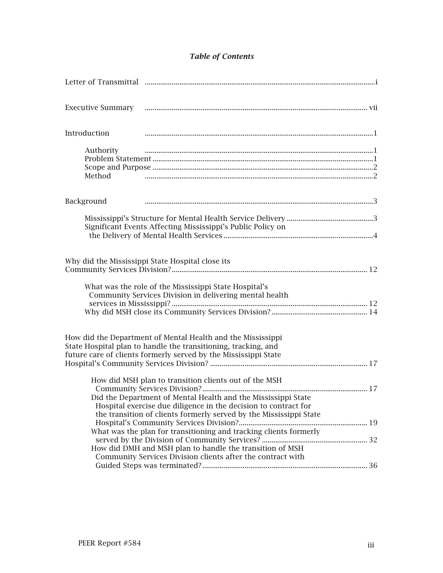# *Table of Contents*

| Introduction                                                                                                                                                                                                                                                    |  |
|-----------------------------------------------------------------------------------------------------------------------------------------------------------------------------------------------------------------------------------------------------------------|--|
| Authority<br>Method                                                                                                                                                                                                                                             |  |
| Background                                                                                                                                                                                                                                                      |  |
| Significant Events Affecting Mississippi's Public Policy on                                                                                                                                                                                                     |  |
| Why did the Mississippi State Hospital close its                                                                                                                                                                                                                |  |
| What was the role of the Mississippi State Hospital's<br>Community Services Division in delivering mental health                                                                                                                                                |  |
| How did the Department of Mental Health and the Mississippi<br>State Hospital plan to handle the transitioning, tracking, and<br>future care of clients formerly served by the Mississippi State                                                                |  |
| How did MSH plan to transition clients out of the MSH<br>Did the Department of Mental Health and the Mississippi State<br>Hospital exercise due diligence in the decision to contract for<br>the transition of clients formerly served by the Mississippi State |  |
| What was the plan for transitioning and tracking clients formerly                                                                                                                                                                                               |  |
| How did DMH and MSH plan to handle the transition of MSH<br>Community Services Division clients after the contract with                                                                                                                                         |  |
|                                                                                                                                                                                                                                                                 |  |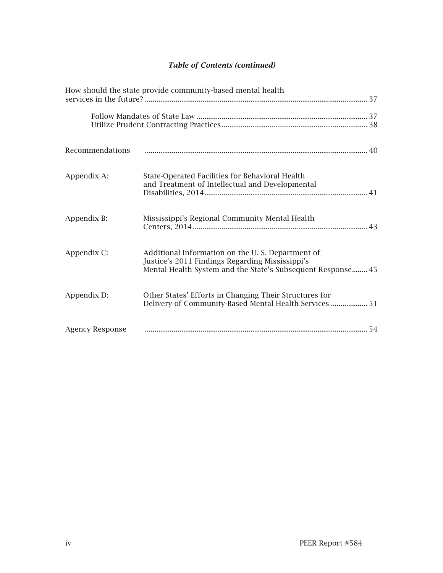# *Table of Contents (continued)*

| How should the state provide community-based mental health |                                                                                                                                                                    |  |
|------------------------------------------------------------|--------------------------------------------------------------------------------------------------------------------------------------------------------------------|--|
|                                                            |                                                                                                                                                                    |  |
| Recommendations                                            |                                                                                                                                                                    |  |
| Appendix A:                                                | State-Operated Facilities for Behavioral Health<br>and Treatment of Intellectual and Developmental                                                                 |  |
| Appendix B:                                                | Mississippi's Regional Community Mental Health                                                                                                                     |  |
| Appendix C:                                                | Additional Information on the U.S. Department of<br>Justice's 2011 Findings Regarding Mississippi's<br>Mental Health System and the State's Subsequent Response 45 |  |
| Appendix D:                                                | Other States' Efforts in Changing Their Structures for<br>Delivery of Community-Based Mental Health Services  51                                                   |  |
| <b>Agency Response</b>                                     |                                                                                                                                                                    |  |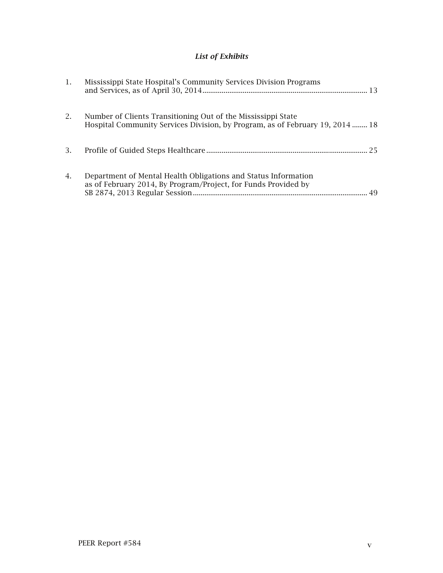# *List of Exhibits*

| $\mathbf{1}$ . | Mississippi State Hospital's Community Services Division Programs                                                                             |    |
|----------------|-----------------------------------------------------------------------------------------------------------------------------------------------|----|
| 2.             | Number of Clients Transitioning Out of the Mississippi State<br>Hospital Community Services Division, by Program, as of February 19, 2014  18 |    |
| 3.             |                                                                                                                                               | 25 |
| 4.             | Department of Mental Health Obligations and Status Information<br>as of February 2014, By Program/Project, for Funds Provided by              | 49 |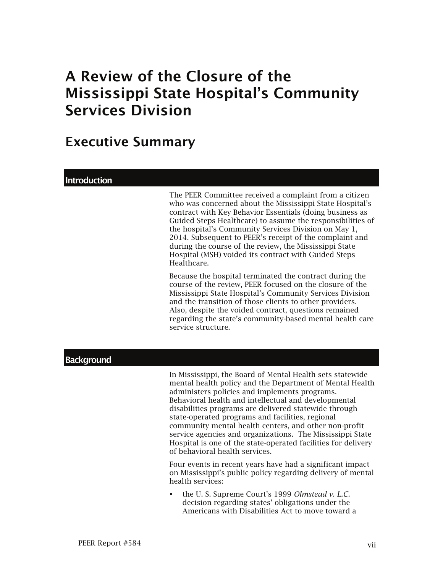# A Review of the Closure of the Mississippi State Hospital's Community Services Division

# Executive Summary

#### **Introduction**

The PEER Committee received a complaint from a citizen who was concerned about the Mississippi State Hospital's contract with Key Behavior Essentials (doing business as Guided Steps Healthcare) to assume the responsibilities of the hospital's Community Services Division on May 1, 2014. Subsequent to PEER's receipt of the complaint and during the course of the review, the Mississippi State Hospital (MSH) voided its contract with Guided Steps Healthcare.

Because the hospital terminated the contract during the course of the review, PEER focused on the closure of the Mississippi State Hospital's Community Services Division and the transition of those clients to other providers. Also, despite the voided contract, questions remained regarding the state's community-based mental health care service structure.

#### **Background**

In Mississippi, the Board of Mental Health sets statewide mental health policy and the Department of Mental Health administers policies and implements programs. Behavioral health and intellectual and developmental disabilities programs are delivered statewide through state-operated programs and facilities, regional community mental health centers, and other non-profit service agencies and organizations. The Mississippi State Hospital is one of the state-operated facilities for delivery of behavioral health services.

Four events in recent years have had a significant impact on Mississippi's public policy regarding delivery of mental health services:

 the U. S. Supreme Court's 1999 *Olmstead v. L.C.* decision regarding states' obligations under the Americans with Disabilities Act to move toward a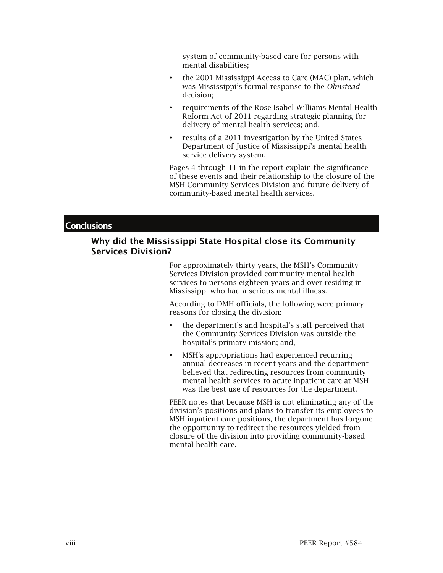system of community-based care for persons with mental disabilities;

- the 2001 Mississippi Access to Care (MAC) plan, which was Mississippi's formal response to the *Olmstead* decision;
- requirements of the Rose Isabel Williams Mental Health Reform Act of 2011 regarding strategic planning for delivery of mental health services; and,
- results of a 2011 investigation by the United States Department of Justice of Mississippi's mental health service delivery system.

Pages 4 through 11 in the report explain the significance of these events and their relationship to the closure of the MSH Community Services Division and future delivery of community-based mental health services.

#### **Conclusions**

#### Why did the Mississippi State Hospital close its Community Services Division?

For approximately thirty years, the MSH's Community Services Division provided community mental health services to persons eighteen years and over residing in Mississippi who had a serious mental illness.

According to DMH officials, the following were primary reasons for closing the division:

- the department's and hospital's staff perceived that the Community Services Division was outside the hospital's primary mission; and,
- MSH's appropriations had experienced recurring annual decreases in recent years and the department believed that redirecting resources from community mental health services to acute inpatient care at MSH was the best use of resources for the department.

PEER notes that because MSH is not eliminating any of the division's positions and plans to transfer its employees to MSH inpatient care positions, the department has forgone the opportunity to redirect the resources yielded from closure of the division into providing community-based mental health care.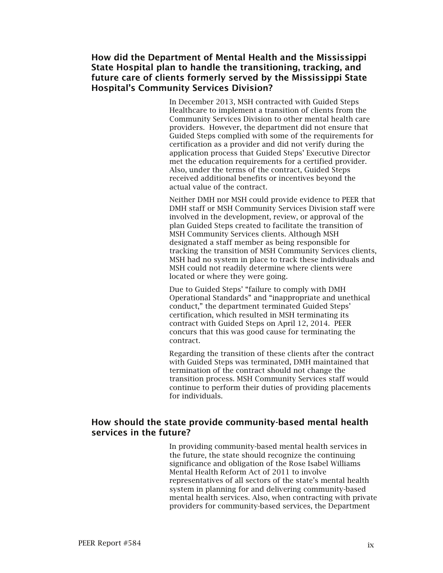## How did the Department of Mental Health and the Mississippi State Hospital plan to handle the transitioning, tracking, and future care of clients formerly served by the Mississippi State Hospital's Community Services Division?

In December 2013, MSH contracted with Guided Steps Healthcare to implement a transition of clients from the Community Services Division to other mental health care providers. However, the department did not ensure that Guided Steps complied with some of the requirements for certification as a provider and did not verify during the application process that Guided Steps' Executive Director met the education requirements for a certified provider. Also, under the terms of the contract, Guided Steps received additional benefits or incentives beyond the actual value of the contract.

Neither DMH nor MSH could provide evidence to PEER that DMH staff or MSH Community Services Division staff were involved in the development, review, or approval of the plan Guided Steps created to facilitate the transition of MSH Community Services clients. Although MSH designated a staff member as being responsible for tracking the transition of MSH Community Services clients, MSH had no system in place to track these individuals and MSH could not readily determine where clients were located or where they were going.

Due to Guided Steps' "failure to comply with DMH Operational Standards" and "inappropriate and unethical conduct," the department terminated Guided Steps' certification, which resulted in MSH terminating its contract with Guided Steps on April 12, 2014. PEER concurs that this was good cause for terminating the contract.

Regarding the transition of these clients after the contract with Guided Steps was terminated, DMH maintained that termination of the contract should not change the transition process. MSH Community Services staff would continue to perform their duties of providing placements for individuals.

## How should the state provide community-based mental health services in the future?

In providing community-based mental health services in the future, the state should recognize the continuing significance and obligation of the Rose Isabel Williams Mental Health Reform Act of 2011 to involve representatives of all sectors of the state's mental health system in planning for and delivering community-based mental health services. Also, when contracting with private providers for community-based services, the Department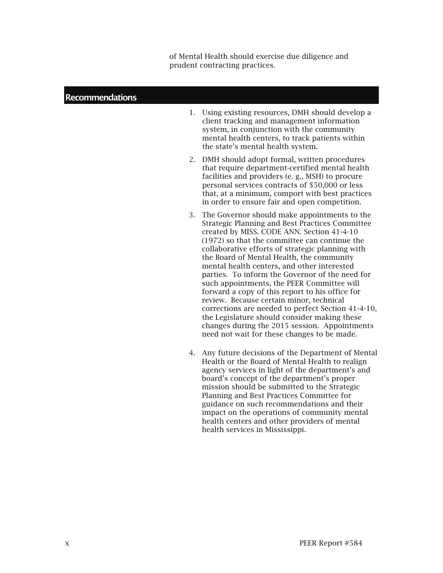of Mental Health should exercise due diligence and prudent contracting practices.

#### Recommendations

- 1. Using existing resources, DMH should develop a client tracking and management information system, in conjunction with the community mental health centers, to track patients within the state's mental health system.
- 2. DMH should adopt formal, written procedures that require department-certified mental health facilities and providers (e. g., MSH) to procure personal services contracts of \$50,000 or less that, at a minimum, comport with best practices in order to ensure fair and open competition.
- 3. The Governor should make appointments to the Strategic Planning and Best Practices Committee created by MISS. CODE ANN. Section 41-4-10 (1972) so that the committee can continue the collaborative efforts of strategic planning with the Board of Mental Health, the community mental health centers, and other interested parties. To inform the Governor of the need for such appointments, the PEER Committee will forward a copy of this report to his office for review. Because certain minor, technical corrections are needed to perfect Section 41-4-10, the Legislature should consider making these changes during the 2015 session. Appointments need not wait for these changes to be made.
- 4. Any future decisions of the Department of Mental Health or the Board of Mental Health to realign agency services in light of the department's and board's concept of the department's proper mission should be submitted to the Strategic Planning and Best Practices Committee for guidance on such recommendations and their impact on the operations of community mental health centers and other providers of mental health services in Mississippi.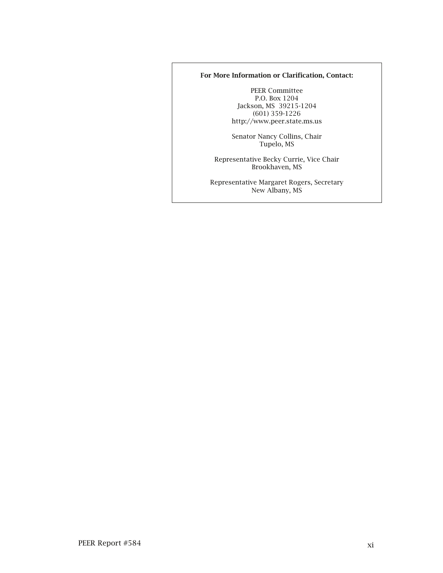#### For More Information or Clarification, Contact:

PEER Committee P.O. Box 1204 Jackson, MS 39215-1204 (601) 359-1226 http://www.peer.state.ms.us

Senator Nancy Collins, Chair Tupelo, MS

Representative Becky Currie, Vice Chair Brookhaven, MS

Representative Margaret Rogers, Secretary New Albany, MS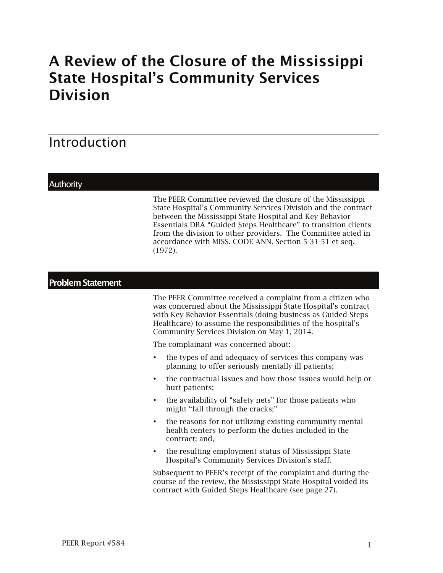# A Review of the Closure of the Mississippi State Hospital's Community Services Division

# Introduction

### **Authority**

The PEER Committee reviewed the closure of the Mississippi State Hospital's Community Services Division and the contract between the Mississippi State Hospital and Key Behavior Essentials DBA "Guided Steps Healthcare" to transition clients from the division to other providers. The Committee acted in accordance with MISS. CODE ANN. Section 5-31-51 et seq. (1972).

# Problem Statement

The PEER Committee received a complaint from a citizen who was concerned about the Mississippi State Hospital's contract with Key Behavior Essentials (doing business as Guided Steps Healthcare) to assume the responsibilities of the hospital's Community Services Division on May 1, 2014.

The complainant was concerned about:

- the types of and adequacy of services this company was planning to offer seriously mentally ill patients;
- the contractual issues and how those issues would help or hurt patients;
- the availability of "safety nets" for those patients who might "fall through the cracks;"
- the reasons for not utilizing existing community mental health centers to perform the duties included in the contract; and,
- the resulting employment status of Mississippi State Hospital's Community Services Division's staff.

Subsequent to PEER's receipt of the complaint and during the course of the review, the Mississippi State Hospital voided its contract with Guided Steps Healthcare (see page 27).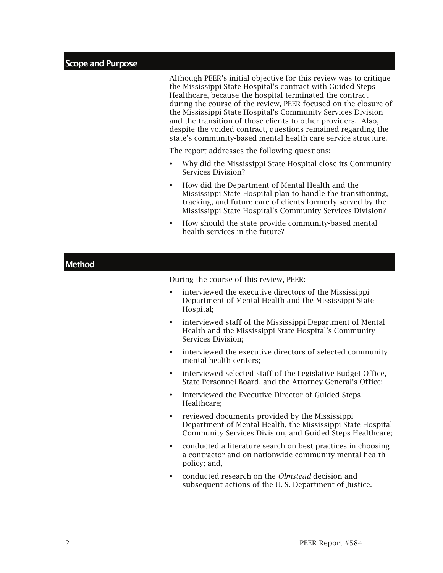#### Scope and Purpose

Although PEER's initial objective for this review was to critique the Mississippi State Hospital's contract with Guided Steps Healthcare, because the hospital terminated the contract during the course of the review, PEER focused on the closure of the Mississippi State Hospital's Community Services Division and the transition of those clients to other providers. Also, despite the voided contract, questions remained regarding the state's community-based mental health care service structure.

The report addresses the following questions:

- Why did the Mississippi State Hospital close its Community Services Division?
- How did the Department of Mental Health and the Mississippi State Hospital plan to handle the transitioning, tracking, and future care of clients formerly served by the Mississippi State Hospital's Community Services Division?
- How should the state provide community-based mental health services in the future?

| <b>Method</b>                           |                                                                                                                                                                            |  |
|-----------------------------------------|----------------------------------------------------------------------------------------------------------------------------------------------------------------------------|--|
| During the course of this review, PEER: |                                                                                                                                                                            |  |
| $\bullet$                               | interviewed the executive directors of the Mississippi<br>Department of Mental Health and the Mississippi State<br>Hospital;                                               |  |
| $\bullet$                               | interviewed staff of the Mississippi Department of Mental<br>Health and the Mississippi State Hospital's Community<br>Services Division;                                   |  |
| $\bullet$                               | interviewed the executive directors of selected community<br>mental health centers;                                                                                        |  |
| $\bullet$                               | interviewed selected staff of the Legislative Budget Office,<br>State Personnel Board, and the Attorney General's Office;                                                  |  |
| ٠                                       | interviewed the Executive Director of Guided Steps<br>Healthcare;                                                                                                          |  |
| $\bullet$                               | reviewed documents provided by the Mississippi<br>Department of Mental Health, the Mississippi State Hospital<br>Community Services Division, and Guided Steps Healthcare; |  |
| ٠                                       | conducted a literature search on best practices in choosing<br>a contractor and on nationwide community mental health<br>policy; and,                                      |  |
| $\bullet$                               | conducted research on the <i>Olmstead</i> decision and<br>subsequent actions of the U.S. Department of Justice.                                                            |  |
|                                         |                                                                                                                                                                            |  |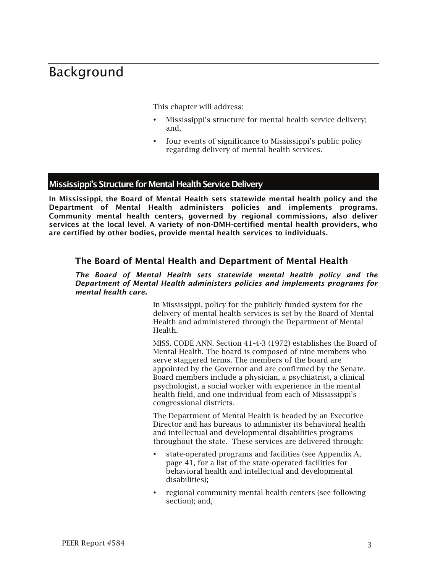# Background

This chapter will address:

- Mississippi's structure for mental health service delivery; and,
- four events of significance to Mississippi's public policy regarding delivery of mental health services.

#### Mississippi's Structure for Mental Health Service Delivery

In Mississippi, the Board of Mental Health sets statewide mental health policy and the Department of Mental Health administers policies and implements programs. Community mental health centers, governed by regional commissions, also deliver services at the local level. A variety of non-DMH-certified mental health providers, who are certified by other bodies, provide mental health services to individuals.

#### The Board of Mental Health and Department of Mental Health

#### *The Board of Mental Health sets statewide mental health policy and the Department of Mental Health administers policies and implements programs for mental health care.*

In Mississippi, policy for the publicly funded system for the delivery of mental health services is set by the Board of Mental Health and administered through the Department of Mental Health.

MISS. CODE ANN. Section 41-4-3 (1972) establishes the Board of Mental Health. The board is composed of nine members who serve staggered terms. The members of the board are appointed by the Governor and are confirmed by the Senate. Board members include a physician, a psychiatrist, a clinical psychologist, a social worker with experience in the mental health field, and one individual from each of Mississippi's congressional districts.

The Department of Mental Health is headed by an Executive Director and has bureaus to administer its behavioral health and intellectual and developmental disabilities programs throughout the state. These services are delivered through:

- state-operated programs and facilities (see Appendix A, page 41, for a list of the state-operated facilities for behavioral health and intellectual and developmental disabilities);
- regional community mental health centers (see following section); and,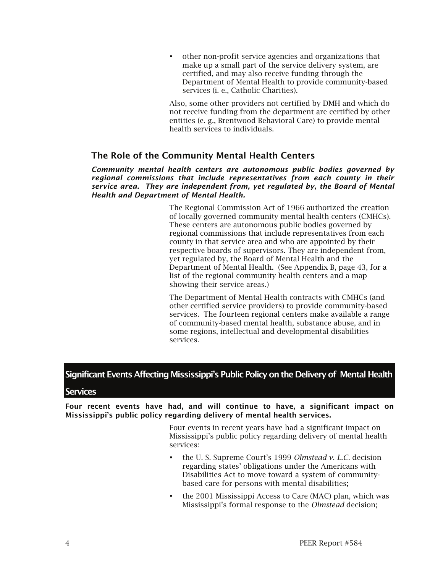other non-profit service agencies and organizations that make up a small part of the service delivery system, are certified, and may also receive funding through the Department of Mental Health to provide community-based services (i. e., Catholic Charities).

Also, some other providers not certified by DMH and which do not receive funding from the department are certified by other entities (e. g., Brentwood Behavioral Care) to provide mental health services to individuals.

# The Role of the Community Mental Health Centers

*Community mental health centers are autonomous public bodies governed by regional commissions that include representatives from each county in their service area. They are independent from, yet regulated by, the Board of Mental Health and Department of Mental Health.*

> The Regional Commission Act of 1966 authorized the creation of locally governed community mental health centers (CMHCs). These centers are autonomous public bodies governed by regional commissions that include representatives from each county in that service area and who are appointed by their respective boards of supervisors. They are independent from, yet regulated by, the Board of Mental Health and the Department of Mental Health. (See Appendix B, page 43, for a list of the regional community health centers and a map showing their service areas.)

> The Department of Mental Health contracts with CMHCs (and other certified service providers) to provide community-based services. The fourteen regional centers make available a range of community-based mental health, substance abuse, and in some regions, intellectual and developmental disabilities services.

# Significant Events Affecting Mississippi's Public Policy on the Delivery of Mental Health

#### **Services**

Four recent events have had, and will continue to have, a significant impact on Mississippi's public policy regarding delivery of mental health services.

> Four events in recent years have had a significant impact on Mississippi's public policy regarding delivery of mental health services:

- the U. S. Supreme Court's 1999 *Olmstead v. L.C.* decision regarding states' obligations under the Americans with Disabilities Act to move toward a system of communitybased care for persons with mental disabilities;
- the 2001 Mississippi Access to Care (MAC) plan, which was Mississippi's formal response to the *Olmstead* decision;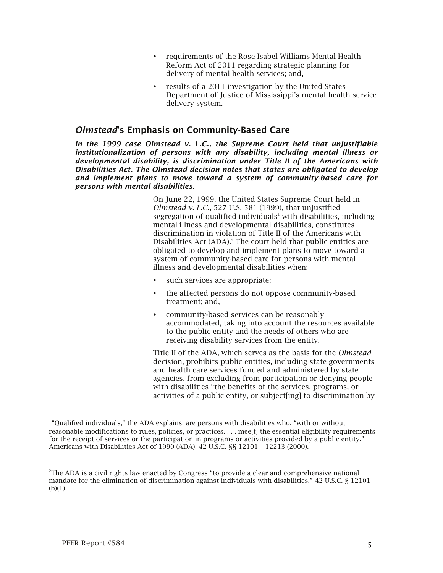- requirements of the Rose Isabel Williams Mental Health Reform Act of 2011 regarding strategic planning for delivery of mental health services; and,
- results of a 2011 investigation by the United States Department of Justice of Mississippi's mental health service delivery system.

### *Olmstead*'s Emphasis on Community-Based Care

*In the 1999 case Olmstead v. L.C., the Supreme Court held that unjustifiable institutionalization of persons with any disability, including mental illness or developmental disability, is discrimination under Title II of the Americans with Disabilities Act. The Olmstead decision notes that states are obligated to develop and implement plans to move toward a system of community-based care for persons with mental disabilities.*

> On June 22, 1999, the United States Supreme Court held in *Olmstead v. L.C.*, 527 U.S. 581 (1999), that unjustified segregation of qualified individuals<sup>1</sup> with disabilities, including mental illness and developmental disabilities, constitutes discrimination in violation of Title II of the Americans with Disabilities Act (ADA).<sup>2</sup> The court held that public entities are obligated to develop and implement plans to move toward a system of community-based care for persons with mental illness and developmental disabilities when:

- such services are appropriate;
- the affected persons do not oppose community-based treatment; and,
- community-based services can be reasonably accommodated, taking into account the resources available to the public entity and the needs of others who are receiving disability services from the entity.

Title II of the ADA, which serves as the basis for the *Olmstead* decision, prohibits public entities, including state governments and health care services funded and administered by state agencies, from excluding from participation or denying people with disabilities "the benefits of the services, programs, or activities of a public entity, or subject[ing] to discrimination by

l

 $14$ <sup>1</sup> Qualified individuals," the ADA explains, are persons with disabilities who, "with or without reasonable modifications to rules, policies, or practices. . . . mee[t] the essential eligibility requirements for the receipt of services or the participation in programs or activities provided by a public entity." Americans with Disabilities Act of 1990 (ADA), 42 U.S.C. §§ 12101 – 12213 (2000).

<sup>2</sup> The ADA is a civil rights law enacted by Congress "to provide a clear and comprehensive national mandate for the elimination of discrimination against individuals with disabilities." 42 U.S.C. § 12101  $(b)(1)$ .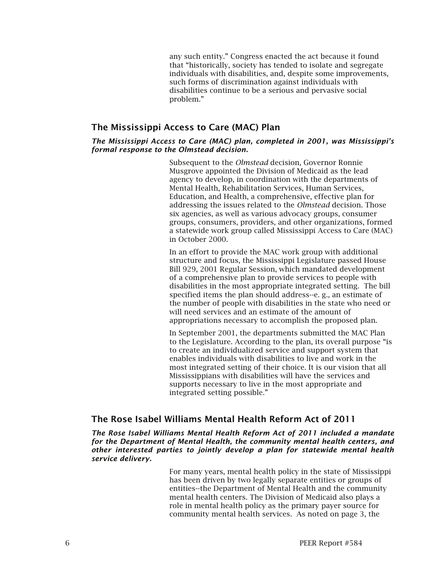any such entity." Congress enacted the act because it found that "historically, society has tended to isolate and segregate individuals with disabilities, and, despite some improvements, such forms of discrimination against individuals with disabilities continue to be a serious and pervasive social problem."

### The Mississippi Access to Care (MAC) Plan

#### *The Mississippi Access to Care (MAC) plan, completed in 2001, was Mississippi's formal response to the Olmstead decision.*

Subsequent to the *Olmstead* decision, Governor Ronnie Musgrove appointed the Division of Medicaid as the lead agency to develop, in coordination with the departments of Mental Health, Rehabilitation Services, Human Services, Education, and Health, a comprehensive, effective plan for addressing the issues related to the *Olmstead* decision. Those six agencies, as well as various advocacy groups, consumer groups, consumers, providers, and other organizations, formed a statewide work group called Mississippi Access to Care (MAC) in October 2000.

In an effort to provide the MAC work group with additional structure and focus, the Mississippi Legislature passed House Bill 929, 2001 Regular Session, which mandated development of a comprehensive plan to provide services to people with disabilities in the most appropriate integrated setting. The bill specified items the plan should address--e. g., an estimate of the number of people with disabilities in the state who need or will need services and an estimate of the amount of appropriations necessary to accomplish the proposed plan.

In September 2001, the departments submitted the MAC Plan to the Legislature. According to the plan, its overall purpose "is to create an individualized service and support system that enables individuals with disabilities to live and work in the most integrated setting of their choice. It is our vision that all Mississippians with disabilities will have the services and supports necessary to live in the most appropriate and integrated setting possible."

#### The Rose Isabel Williams Mental Health Reform Act of 2011

*The Rose Isabel Williams Mental Health Reform Act of 2011 included a mandate for the Department of Mental Health, the community mental health centers, and other interested parties to jointly develop a plan for statewide mental health service delivery.*

> For many years, mental health policy in the state of Mississippi has been driven by two legally separate entities or groups of entities--the Department of Mental Health and the community mental health centers. The Division of Medicaid also plays a role in mental health policy as the primary payer source for community mental health services. As noted on page 3, the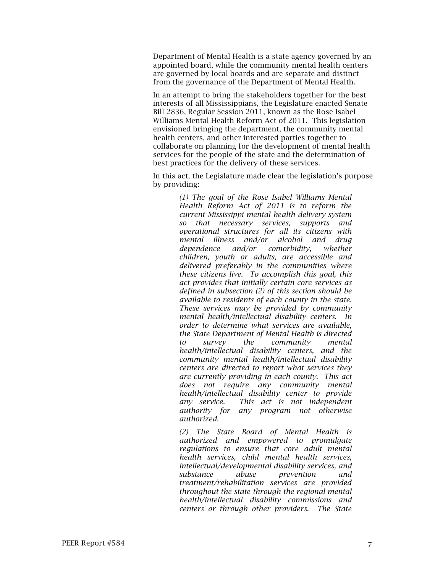Department of Mental Health is a state agency governed by an appointed board, while the community mental health centers are governed by local boards and are separate and distinct from the governance of the Department of Mental Health.

In an attempt to bring the stakeholders together for the best interests of all Mississippians, the Legislature enacted Senate Bill 2836, Regular Session 2011, known as the Rose Isabel Williams Mental Health Reform Act of 2011. This legislation envisioned bringing the department, the community mental health centers, and other interested parties together to collaborate on planning for the development of mental health services for the people of the state and the determination of best practices for the delivery of these services.

In this act, the Legislature made clear the legislation's purpose by providing:

> *(1) The goal of the Rose Isabel Williams Mental Health Reform Act of 2011 is to reform the current Mississippi mental health delivery system so that necessary services, supports and operational structures for all its citizens with mental illness and/or alcohol and drug dependence and/or comorbidity, whether children, youth or adults, are accessible and delivered preferably in the communities where these citizens live. To accomplish this goal, this act provides that initially certain core services as defined in subsection (2) of this section should be available to residents of each county in the state. These services may be provided by community mental health/intellectual disability centers. In order to determine what services are available, the State Department of Mental Health is directed to survey the community mental health/intellectual disability centers, and the community mental health/intellectual disability centers are directed to report what services they are currently providing in each county. This act does not require any community mental health/intellectual disability center to provide any service. This act is not independent authority for any program not otherwise authorized.*

> *(2) The State Board of Mental Health is authorized and empowered to promulgate regulations to ensure that core adult mental health services, child mental health services, intellectual/developmental disability services, and substance abuse prevention and treatment/rehabilitation services are provided throughout the state through the regional mental health/intellectual disability commissions and centers or through other providers. The State*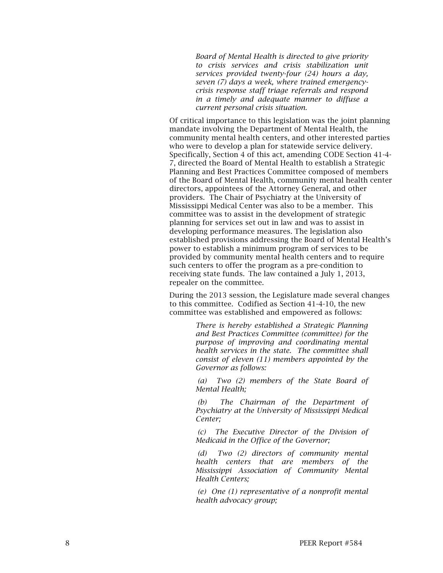*Board of Mental Health is directed to give priority to crisis services and crisis stabilization unit services provided twenty -four (24) hours a day, seven (7) days a week, where trained emergency crisis response staff triage referrals and respond in a timely and adequate manner to diffuse a current personal crisis situation.*

Of critical importance to this legislation was the joint planning mandate involving the Department of Mental Health, the community mental health centers, and other interested parties who were to develop a plan for statewide service delivery. Specifically, Section 4 of this act, amending CODE Section 41-4- 7, directed the Board of Mental Health to establish a Strategic Planning and Best Practices Committee composed of members of the Board of Mental Health, community mental health center directors, appointees of the Attorney General, and other providers. The Chair of Psychiatry at the University of Mississippi Medical Center was also to be a member. This committee was to assist in the development of strategic planning for services set out in law and was to assist in developing performance measures. The legislation also established provisions addressing the Board of Mental Health 's power to establish a minimum program of services to be provided by community mental health centers and to require such centers to offer the program as a pre -condition to receiving state funds.The law contained a July 1, 2013, repealer on the committee.

During the 2013 session, the Legislature made several changes to this committee. Codified as Section 41-4-10, the new committee was established and empowered as follows:

> *There is hereby established a Strategic Planning and Best Practices Committee (committee) for the purpose of improving and coordinating mental health services in the state. The committee shall consist of eleven (11) members appointed by the Governor as follows:*

> *(a) Two (2) members of the State Board of Mental Health;*

> *(b) The Chairman of the Department of Psychiatry at the University of Mississippi Medical Center;*

> *(c) The Executive Director of the Division of Medicaid in the Office of the Governor;*

> *(d) Two (2) directors of community mental health centers that are members of the Mississippi Association of Community Mental Health Centers;*

> *(e) One (1) representative of a nonprofit mental health advocacy group;*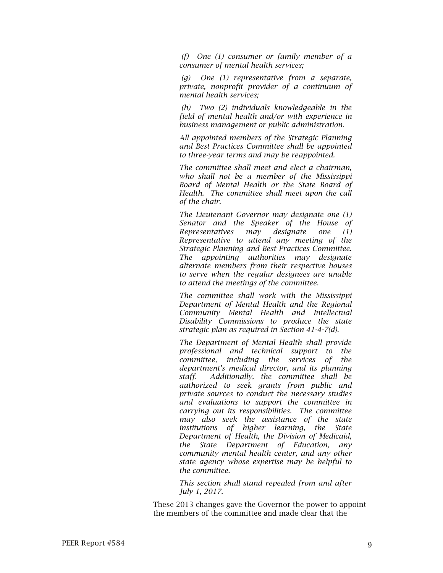*(f) One (1) consumer or family member of a consumer of mental health services;*

 *(g) One (1) representative from a separate, private, nonprofit provider of a continuum of mental health services;*

 *(h) Two (2) individuals knowledgeable in the field of mental health and/or with experience in business management or public administration.*

*All appointed members of the Strategic Planning and Best Practices Committee shall be appointed to three-year terms and may be reappointed.*

*The committee shall meet and elect a chairman, who shall not be a member of the Mississippi Board of Mental Health or the State Board of Health. The committee shall meet upon the call of the chair.*

*The Lieutenant Governor may designate one (1) Senator and the Speaker of the House of Representatives may designate one (1) Representative to attend any meeting of the Strategic Planning and Best Practices Committee. The appointing authorities may designate alternate members from their respective houses to serve when the regular designees are unable to attend the meetings of the committee.*

*The committee shall work with the Mississippi Department of Mental Health and the Regional Community Mental Health and Intellectual Disability Commissions to produce the state strategic plan as required in Section 41-4-7(d).*

*The Department of Mental Health shall provide professional and technical support to the committee, including the services of the department's medical director, and its planning staff. Additionally, the committee shall be authorized to seek grants from public and private sources to conduct the necessary studies and evaluations to support the committee in carrying out its responsibilities. The committee may also seek the assistance of the state institutions of higher learning, the State Department of Health, the Division of Medicaid, the State Department of Education, any community mental health center, and any other state agency whose expertise may be helpful to the committee.*

*This section shall stand repealed from and after July 1, 2017.*

These 2013 changes gave the Governor the power to appoint the members of the committee and made clear that the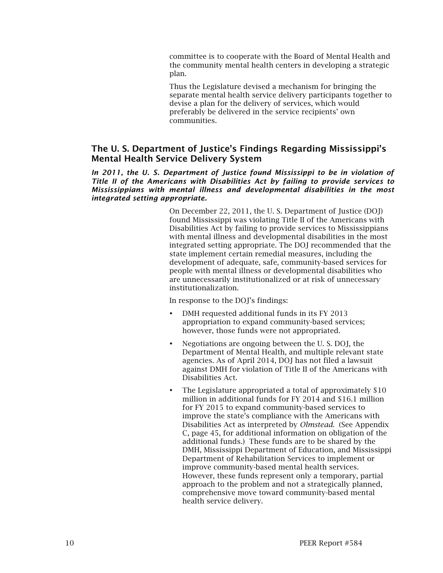committee is to cooperate with the Board of Mental Health and the community mental health centers in developing a strategic plan.

Thus the Legislature devised a mechanism for bringing the separate mental health service delivery participants together to devise a plan for the delivery of services, which would preferably be delivered in the service recipients' own communities.

# The U. S. Department of Justice's Findings Regarding Mississippi's Mental Health Service Delivery System

#### In 2011, the U. S. Department of Justice found Mississippi to be in violation of *Title II of the Americans with Disabilities Act by failing to provide services to Mississippians with mental illness and developmental disabilities in the most integrated setting appropriate.*

On December 22, 2011, the U. S. Department of Justice (DOJ) found Mississippi was violating Title II of the Americans with Disabilities Act by failing to provide services to Mississippians with mental illness and developmental disabilities in the most integrated setting appropriate. The DOJ recommended that the state implement certain remedial measures, including the development of adequate, safe, community-based services for people with mental illness or developmental disabilities who are unnecessarily institutionalized or at risk of unnecessary institutionalization.

In response to the DOJ's findings:

- DMH requested additional funds in its FY 2013 appropriation to expand community-based services; however, those funds were not appropriated.
- Negotiations are ongoing between the U. S. DOJ, the Department of Mental Health, and multiple relevant state agencies. As of April 2014, DOJ has not filed a lawsuit against DMH for violation of Title II of the Americans with Disabilities Act.
- The Legislature appropriated a total of approximately \$10 million in additional funds for FY 2014 and \$16.1 million for FY 2015 to expand community-based services to improve the state's compliance with the Americans with Disabilities Act as interpreted by *Olmstead*. (See Appendix C, page 45, for additional information on obligation of the additional funds.) These funds are to be shared by the DMH, Mississippi Department of Education, and Mississippi Department of Rehabilitation Services to implement or improve community-based mental health services. However, these funds represent only a temporary, partial approach to the problem and not a strategically planned, comprehensive move toward community-based mental health service delivery.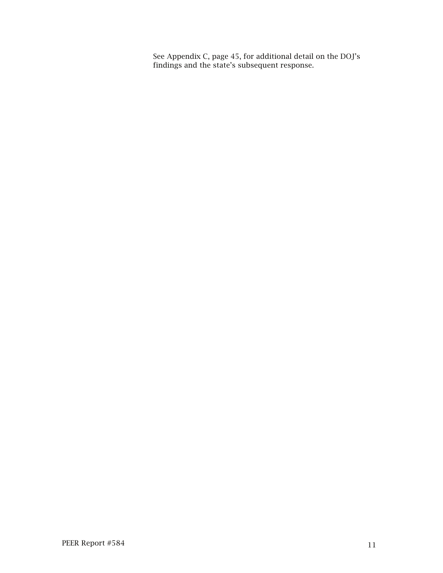See Appendix C, page 45, for additional detail on the DOJ's findings and the state's subsequent response.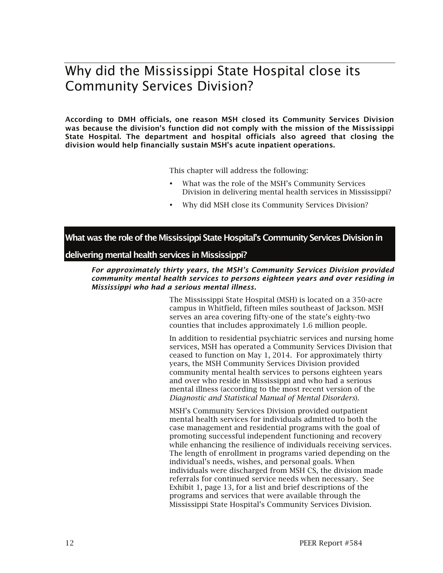# Why did the Mississippi State Hospital close its Community Services Division?

According to DMH officials, one reason MSH closed its Community Services Division was because the division's function did not comply with the mission of the Mississippi State Hospital. The department and hospital officials also agreed that closing the division would help financially sustain MSH's acute inpatient operations.

This chapter will address the following:

- What was the role of the MSH's Community Services Division in delivering mental health services in Mississippi?
- Why did MSH close its Community Services Division?

What was the role of the Mississippi State Hospital's Community Services Division in

#### delivering mental health services in Mississippi?

*For approximately thirty years, the MSH's Community Services Division provided community mental health services to persons eighteen years and over residing in Mississippi who had a serious mental illness.* 

> The Mississippi State Hospital (MSH) is located on a 350-acre campus in Whitfield, fifteen miles southeast of Jackson. MSH serves an area covering fifty-one of the state's eighty-two counties that includes approximately 1.6 million people.

In addition to residential psychiatric services and nursing home services, MSH has operated a Community Services Division that ceased to function on May 1, 2014. For approximately thirty years, the MSH Community Services Division provided community mental health services to persons eighteen years and over who reside in Mississippi and who had a serious mental illness (according to the most recent version of the *Diagnostic and Statistical Manual of Mental Disorders*).

MSH's Community Services Division provided outpatient mental health services for individuals admitted to both the case management and residential programs with the goal of promoting successful independent functioning and recovery while enhancing the resilience of individuals receiving services. The length of enrollment in programs varied depending on the individual's needs, wishes, and personal goals. When individuals were discharged from MSH CS, the division made referrals for continued service needs when necessary. See Exhibit 1, page 13, for a list and brief descriptions of the programs and services that were available through the Mississippi State Hospital's Community Services Division.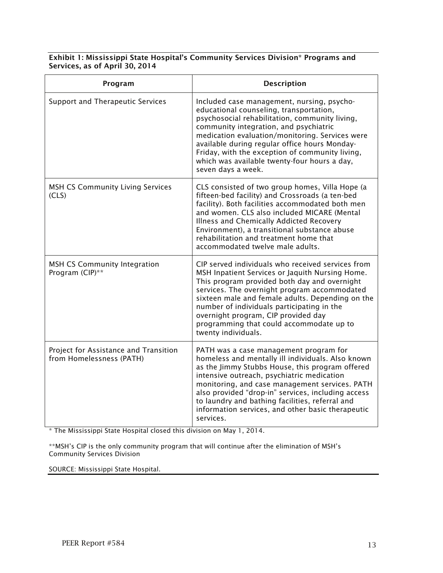| Exhibit 1: Mississippi State Hospital's Community Services Division* Programs and |  |
|-----------------------------------------------------------------------------------|--|
| Services, as of April 30, 2014                                                    |  |

| Program                                                           | Description                                                                                                                                                                                                                                                                                                                                                                                                               |
|-------------------------------------------------------------------|---------------------------------------------------------------------------------------------------------------------------------------------------------------------------------------------------------------------------------------------------------------------------------------------------------------------------------------------------------------------------------------------------------------------------|
| Support and Therapeutic Services                                  | Included case management, nursing, psycho-<br>educational counseling, transportation,<br>psychosocial rehabilitation, community living,<br>community integration, and psychiatric<br>medication evaluation/monitoring. Services were<br>available during regular office hours Monday-<br>Friday, with the exception of community living,<br>which was available twenty-four hours a day,<br>seven days a week.            |
| <b>MSH CS Community Living Services</b><br>(CLS)                  | CLS consisted of two group homes, Villa Hope (a<br>fifteen-bed facility) and Crossroads (a ten-bed<br>facility). Both facilities accommodated both men<br>and women. CLS also included MICARE (Mental<br>Illness and Chemically Addicted Recovery<br>Environment), a transitional substance abuse<br>rehabilitation and treatment home that<br>accommodated twelve male adults.                                           |
| <b>MSH CS Community Integration</b><br>Program (CIP)**            | CIP served individuals who received services from<br>MSH Inpatient Services or Jaquith Nursing Home.<br>This program provided both day and overnight<br>services. The overnight program accommodated<br>sixteen male and female adults. Depending on the<br>number of individuals participating in the<br>overnight program, CIP provided day<br>programming that could accommodate up to<br>twenty individuals.          |
| Project for Assistance and Transition<br>from Homelessness (PATH) | PATH was a case management program for<br>homeless and mentally ill individuals. Also known<br>as the Jimmy Stubbs House, this program offered<br>intensive outreach, psychiatric medication<br>monitoring, and case management services. PATH<br>also provided "drop-in" services, including access<br>to laundry and bathing facilities, referral and<br>information services, and other basic therapeutic<br>services. |

\* The Mississippi State Hospital closed this division on May 1, 2014.

\*\*MSH's CIP is the only community program that will continue after the elimination of MSH's Community Services Division

SOURCE: Mississippi State Hospital.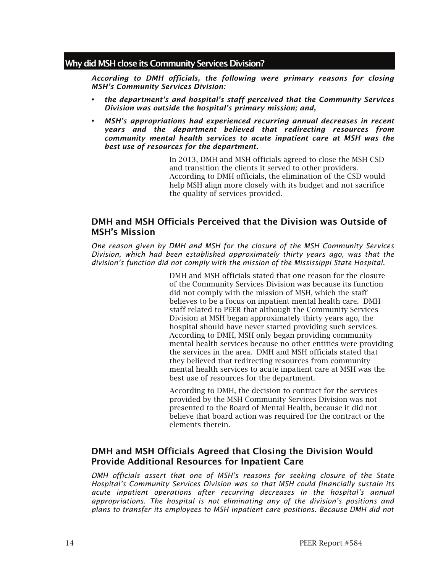#### Why did MSH close its Community Services Division?

*According to DMH officials, the following were primary reasons for closing MSH's Community Services Division:* 

- *the department's and hospital's staff perceived that the Community Services Division was outside the hospital's primary mission; and,*
- *MSH's appropriations had experienced recurring annual decreases in recent years and the department believed that redirecting resources from community mental health services to acute inpatient care at MSH was the best use of resources for the department.*

In 2013, DMH and MSH officials agreed to close the MSH CSD and transition the clients it served to other providers. According to DMH officials, the elimination of the CSD would help MSH align more closely with its budget and not sacrifice the quality of services provided.

# DMH and MSH Officials Perceived that the Division was Outside of MSH's Mission

*One reason given by DMH and MSH for the closure of the MSH Community Services Division, which had been established approximately thirty years ago, was that the division's function did not comply with the mission of the Mississippi State Hospital.*

> DMH and MSH officials stated that one reason for the closure of the Community Services Division was because its function did not comply with the mission of MSH, which the staff believes to be a focus on inpatient mental health care. DMH staff related to PEER that although the Community Services Division at MSH began approximately thirty years ago, the hospital should have never started providing such services. According to DMH, MSH only began providing community mental health services because no other entities were providing the services in the area. DMH and MSH officials stated that they believed that redirecting resources from community mental health services to acute inpatient care at MSH was the best use of resources for the department.

According to DMH, the decision to contract for the services provided by the MSH Community Services Division was not presented to the Board of Mental Health, because it did not believe that board action was required for the contract or the elements therein.

# DMH and MSH Officials Agreed that Closing the Division Would Provide Additional Resources for Inpatient Care

*DMH officials assert that one of MSH's reasons for seeking closure of the State Hospital's Community Services Division was so that MSH could financially sustain its acute inpatient operations after recurring decreases in the hospital's annual appropriations. The hospital is not eliminating any of the division's positions and plans to transfer its employees to MSH inpatient care positions. Because DMH did not*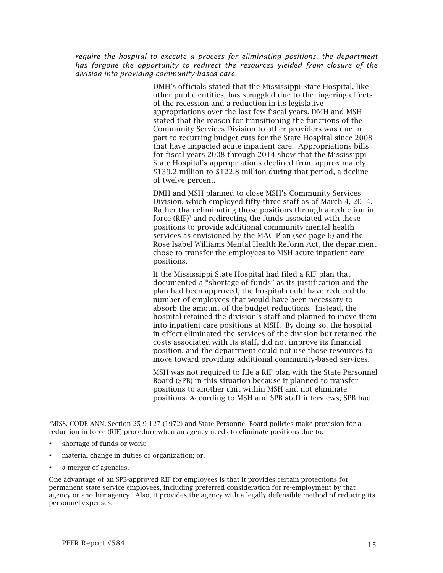*require the hospital to execute a process for eliminating positions, the department has forgone the opportunity to redirect the resources yielded from closure of the division into providing community-based care.*

> DMH's officials stated that the Mississippi State Hospital, like other public entities, has struggled due to the lingering effects of the recession and a reduction in its legislative appropriations over the last few fiscal years. DMH and MSH stated that the reason for transitioning the functions of the Community Services Division to other providers was due in part to recurring budget cuts for the State Hospital since 2008 that have impacted acute inpatient care. Appropriations bills for fiscal years 2008 through 2014 show that the Mississippi State Hospital's appropriations declined from approximately \$139.2 million to \$122.8 million during that period, a decline of twelve percent.

DMH and MSH planned to close MSH's Community Services Division, which employed fifty-three staff as of March 4, 2014. Rather than eliminating those positions through a reduction in force (RIF)<sup>3</sup> and redirecting the funds associated with these positions to provide additional community mental health services as envisioned by the MAC Plan (see page 6) and the Rose Isabel Williams Mental Health Reform Act, the department chose to transfer the employees to MSH acute inpatient care positions.

If the Mississippi State Hospital had filed a RIF plan that documented a "shortage of funds" as its justification and the plan had been approved, the hospital could have reduced the number of employees that would have been necessary to absorb the amount of the budget reductions. Instead, the hospital retained the division's staff and planned to move them into inpatient care positions at MSH. By doing so, the hospital in effect eliminated the services of the division but retained the costs associated with its staff, did not improve its financial position, and the department could not use those resources to move toward providing additional community-based services.

MSH was not required to file a RIF plan with the State Personnel Board (SPB) in this situation because it planned to transfer positions to another unit within MSH and not eliminate positions. According to MSH and SPB staff interviews, SPB had

- shortage of funds or work;
- material change in duties or organization; or,
- a merger of agencies.

l

<sup>3</sup> MISS. CODE ANN. Section 25-9-127 (1972) and State Personnel Board policies make provision for a reduction in force (RIF) procedure when an agency needs to eliminate positions due to:

One advantage of an SPB-approved RIF for employees is that it provides certain protections for permanent state service employees, including preferred consideration for re-employment by that agency or another agency. Also, it provides the agency with a legally defensible method of reducing its personnel expenses.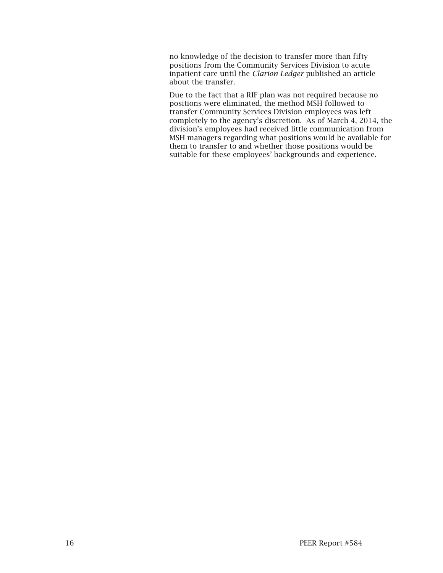no knowledge of the decision to transfer more than fifty positions from the Community Services Division to acute inpatient care until the *Clarion Ledger* published an article about the transfer.

Due to the fact that a RIF plan was not required because no positions were eliminated, the method MSH followed to transfer Community Services Division employees was left completely to the agency's discretion. As of March 4, 2014, the division's employees had received little communication from MSH managers regarding what positions would be available for them to transfer to and whether those positions would be suitable for these employees' backgrounds and experience.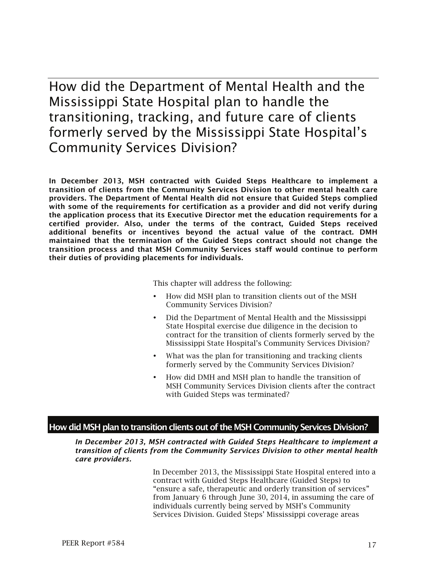How did the Department of Mental Health and the Mississippi State Hospital plan to handle the transitioning, tracking, and future care of clients formerly served by the Mississippi State Hospital's Community Services Division?

In December 2013, MSH contracted with Guided Steps Healthcare to implement a transition of clients from the Community Services Division to other mental health care providers. The Department of Mental Health did not ensure that Guided Steps complied with some of the requirements for certification as a provider and did not verify during the application process that its Executive Director met the education requirements for a certified provider. Also, under the terms of the contract, Guided Steps received additional benefits or incentives beyond the actual value of the contract. DMH maintained that the termination of the Guided Steps contract should not change the transition process and that MSH Community Services staff would continue to perform their duties of providing placements for individuals.

This chapter will address the following:

- How did MSH plan to transition clients out of the MSH Community Services Division?
- Did the Department of Mental Health and the Mississippi State Hospital exercise due diligence in the decision to contract for the transition of clients formerly served by the Mississippi State Hospital's Community Services Division?
- What was the plan for transitioning and tracking clients formerly served by the Community Services Division?
- How did DMH and MSH plan to handle the transition of MSH Community Services Division clients after the contract with Guided Steps was terminated?

#### How did MSH plan to transition clients out of the MSH Community Services Division?

*In December 2013, MSH contracted with Guided Steps Healthcare to implement a transition of clients from the Community Services Division to other mental health care providers.*

> In December 2013, the Mississippi State Hospital entered into a contract with Guided Steps Healthcare (Guided Steps) to "ensure a safe, therapeutic and orderly transition of services" from January 6 through June 30, 2014, in assuming the care of individuals currently being served by MSH's Community Services Division. Guided Steps' Mississippi coverage areas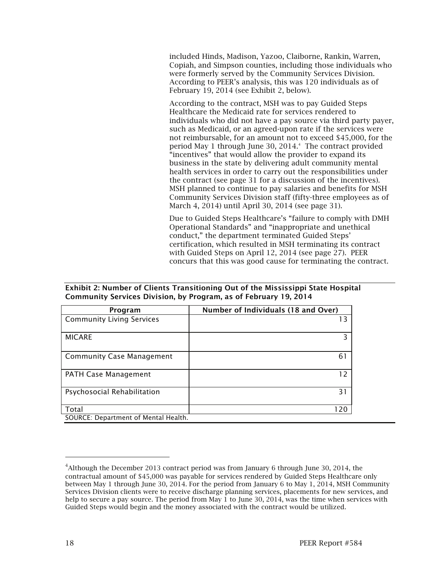included Hinds, Madison, Yazoo, Claiborne, Rankin, Warren, Copiah, and Simpson counties, including those individuals who were formerly served by the Community Services Division. According to PEER's analysis, this was 120 individuals as of February 19, 2014 (see Exhibit 2, below).

According to the contract, MSH was to pay Guided Steps Healthcare the Medicaid rate for services rendered to individuals who did not have a pay source via third party payer, such as Medicaid, or an agreed-upon rate if the services were not reimbursable, for an amount not to exceed \$45,000, for the period May 1 through June 30, 2014.4 The contract provided "incentives" that would allow the provider to expand its business in the state by delivering adult community mental health services in order to carry out the responsibilities under the contract (see page 31 for a discussion of the incentives). MSH planned to continue to pay salaries and benefits for MSH Community Services Division staff (fifty-three employees as of March 4, 2014) until April 30, 2014 (see page 31).

Due to Guided Steps Healthcare's "failure to comply with DMH Operational Standards" and "inappropriate and unethical conduct," the department terminated Guided Steps' certification, which resulted in MSH terminating its contract with Guided Steps on April 12, 2014 (see page 27). PEER concurs that this was good cause for terminating the contract.

#### Exhibit 2: Number of Clients Transitioning Out of the Mississippi State Hospital Community Services Division, by Program, as of February 19, 2014

| Program                              | Number of Individuals (18 and Over) |
|--------------------------------------|-------------------------------------|
| <b>Community Living Services</b>     | 13                                  |
| <b>MICARE</b>                        | 3                                   |
| <b>Community Case Management</b>     | 61                                  |
| <b>PATH Case Management</b>          | 12                                  |
| Psychosocial Rehabilitation          | 31                                  |
| Total                                | 120                                 |
| SOURCE: Department of Mental Health. |                                     |

-

<sup>&</sup>lt;sup>4</sup> Although the December 2013 contract period was from January 6 through June 30, 2014, the contractual amount of \$45,000 was payable for services rendered by Guided Steps Healthcare only between May 1 through June 30, 2014. For the period from January 6 to May 1, 2014, MSH Community Services Division clients were to receive discharge planning services, placements for new services, and help to secure a pay source. The period from May 1 to June 30, 2014, was the time when services with Guided Steps would begin and the money associated with the contract would be utilized.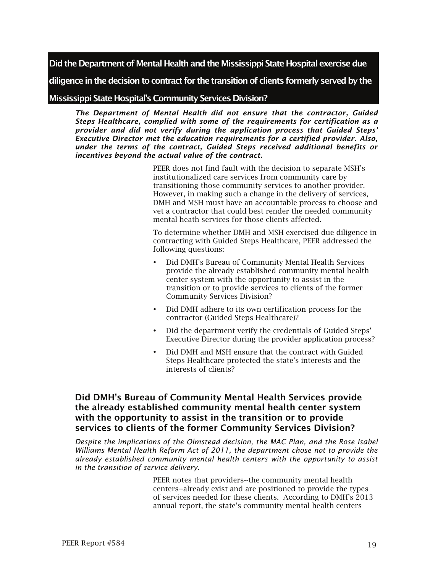Did the Department of Mental Health and the Mississippi State Hospital exercise due

diligence in the decision to contract for the transition of clients formerly served by the

Mississippi State Hospital's Community Services Division?

*The Department of Mental Health did not ensure that the contractor, Guided Steps Healthcare, complied with some of the requirements for certification as a provider and did not verify during the application process that Guided Steps' Executive Director met the education requirements for a certified provider. Also, under the terms of the contract, Guided Steps received additional benefits or incentives beyond the actual value of the contract.* 

> PEER does not find fault with the decision to separate MSH's institutionalized care services from community care by transitioning those community services to another provider. However, in making such a change in the delivery of services, DMH and MSH must have an accountable process to choose and vet a contractor that could best render the needed community mental heath services for those clients affected.

> To determine whether DMH and MSH exercised due diligence in contracting with Guided Steps Healthcare, PEER addressed the following questions:

- Did DMH's Bureau of Community Mental Health Services provide the already established community mental health center system with the opportunity to assist in the transition or to provide services to clients of the former Community Services Division?
- Did DMH adhere to its own certification process for the contractor (Guided Steps Healthcare)?
- Did the department verify the credentials of Guided Steps' Executive Director during the provider application process?
- Did DMH and MSH ensure that the contract with Guided Steps Healthcare protected the state's interests and the interests of clients?

## Did DMH's Bureau of Community Mental Health Services provide the already established community mental health center system with the opportunity to assist in the transition or to provide services to clients of the former Community Services Division?

*Despite the implications of the Olmstead decision, the MAC Plan, and the Rose Isabel Williams Mental Health Reform Act of 2011, the department chose not to provide the already established community mental health centers with the opportunity to assist in the transition of service delivery.*

> PEER notes that providers--the community mental health centers--already exist and are positioned to provide the types of services needed for these clients. According to DMH's 2013 annual report, the state's community mental health centers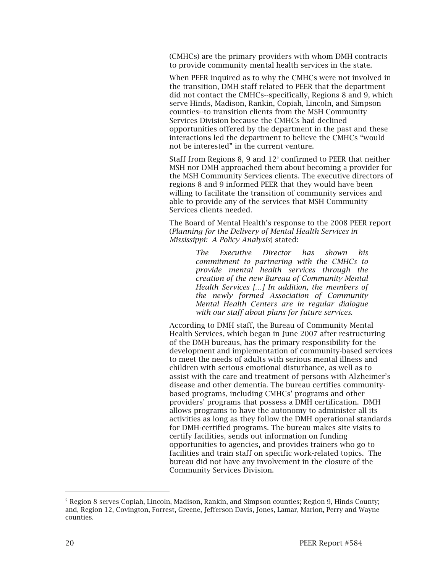(CMHCs) are the primary providers with whom DMH contracts to provide community mental health services in the state.

When PEER inquired as to why the CMHCs were not involved in the transition, DMH staff related to PEER that the department did not contact the CMHCs--specifically, Regions 8 and 9, which serve Hinds, Madison, Rankin, Copiah, Lincoln, and Simpson counties--to transition clients from the MSH Community Services Division because the CMHCs had declined opportunities offered by the department in the past and these interactions led the department to believe the CMHCs "would not be interested" in the current venture.

Staff from Regions 8, 9 and  $12<sup>5</sup>$  confirmed to PEER that neither MSH nor DMH approached them about becoming a provider for the MSH Community Services clients. The executive directors of regions 8 and 9 informed PEER that they would have been willing to facilitate the transition of community services and able to provide any of the services that MSH Community Services clients needed.

The Board of Mental Health's response to the 2008 PEER report (*Planning for the Delivery of Mental Health Services in Mississippi: A Policy Analysis*) stated:

> *The Executive Director has shown his commitment to partnering with the CMHCs to provide mental health services through the creation of the new Bureau of Community Mental Health Services […] In addition, the members of the newly formed Association of Community Mental Health Centers are in regular dialogue with our staff about plans for future services.*

According to DMH staff, the Bureau of Community Mental Health Services, which began in June 2007 after restructuring of the DMH bureaus, has the primary responsibility for the development and implementation of community-based services to meet the needs of adults with serious mental illness and children with serious emotional disturbance, as well as to assist with the care and treatment of persons with Alzheimer's disease and other dementia. The bureau certifies communitybased programs, including CMHCs' programs and other providers' programs that possess a DMH certification. DMH allows programs to have the autonomy to administer all its activities as long as they follow the DMH operational standards for DMH-certified programs. The bureau makes site visits to certify facilities, sends out information on funding opportunities to agencies, and provides trainers who go to facilities and train staff on specific work-related topics. The bureau did not have any involvement in the closure of the Community Services Division.

-

<sup>5</sup> Region 8 serves Copiah, Lincoln, Madison, Rankin, and Simpson counties; Region 9, Hinds County; and, Region 12, Covington, Forrest, Greene, Jefferson Davis, Jones, Lamar, Marion, Perry and Wayne counties.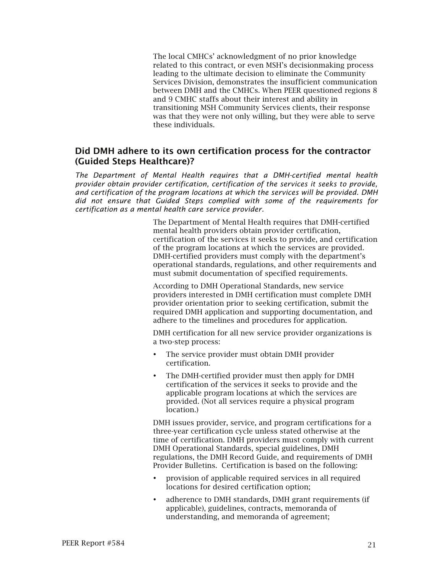The local CMHCs' acknowledgment of no prior knowledge related to this contract, or even MSH's decisionmaking process leading to the ultimate decision to eliminate the Community Services Division, demonstrates the insufficient communication between DMH and the CMHCs. When PEER questioned regions 8 and 9 CMHC staffs about their interest and ability in transitioning MSH Community Services clients, their response was that they were not only willing, but they were able to serve these individuals.

### Did DMH adhere to its own certification process for the contractor (Guided Steps Healthcare)?

*The Department of Mental Health requires that a DMH-certified mental health provider obtain provider certification, certification of the services it seeks to provide, and certification of the program locations at which the services will be provided. DMH did not ensure that Guided Steps complied with some of the requirements for certification as a mental health care service provider.*

> The Department of Mental Health requires that DMH-certified mental health providers obtain provider certification, certification of the services it seeks to provide, and certification of the program locations at which the services are provided. DMH-certified providers must comply with the department's operational standards, regulations, and other requirements and must submit documentation of specified requirements.

According to DMH Operational Standards, new service providers interested in DMH certification must complete DMH provider orientation prior to seeking certification, submit the required DMH application and supporting documentation, and adhere to the timelines and procedures for application.

DMH certification for all new service provider organizations is a two-step process:

- The service provider must obtain DMH provider certification.
- The DMH-certified provider must then apply for DMH certification of the services it seeks to provide and the applicable program locations at which the services are provided. (Not all services require a physical program location.)

DMH issues provider, service, and program certifications for a three-year certification cycle unless stated otherwise at the time of certification. DMH providers must comply with current DMH Operational Standards, special guidelines, DMH regulations, the DMH Record Guide, and requirements of DMH Provider Bulletins. Certification is based on the following:

- provision of applicable required services in all required locations for desired certification option;
- adherence to DMH standards, DMH grant requirements (if applicable), guidelines, contracts, memoranda of understanding, and memoranda of agreement;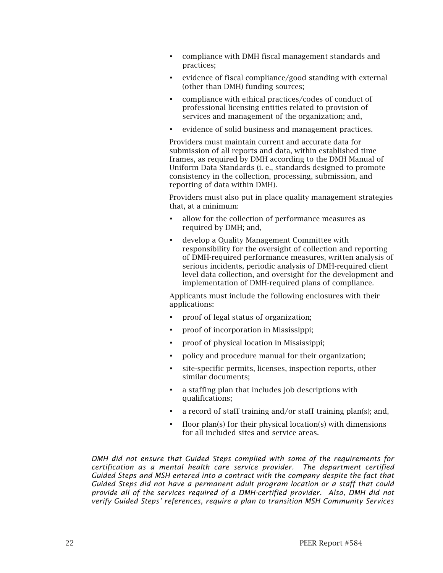- compliance with DMH fiscal management standards and practices;
- evidence of fiscal compliance/good standing with external (other than DMH) funding sources;
- compliance with ethical practices/codes of conduct of professional licensing entities related to provision of services and management of the organization; and,
- evidence of solid business and management practices.

Providers must maintain current and accurate data for submission of all reports and data, within established time frames, as required by DMH according to the DMH Manual of Uniform Data Standards (i. e., standards designed to promote consistency in the collection, processing, submission, and reporting of data within DMH).

Providers must also put in place quality management strategies that, at a minimum:

- allow for the collection of performance measures as required by DMH; and,
- develop a Quality Management Committee with responsibility for the oversight of collection and reporting of DMH-required performance measures, written analysis of serious incidents, periodic analysis of DMH-required client level data collection, and oversight for the development and implementation of DMH-required plans of compliance.

Applicants must include the following enclosures with their applications:

- proof of legal status of organization;
- proof of incorporation in Mississippi;
- proof of physical location in Mississippi;
- policy and procedure manual for their organization;
- site-specific permits, licenses, inspection reports, other similar documents;
- a staffing plan that includes job descriptions with qualifications;
- a record of staff training and/or staff training plan(s); and,
- floor plan(s) for their physical location(s) with dimensions for all included sites and service areas.

*DMH did not ensure that Guided Steps complied with some of the requirements for certification as a mental health care service provider. The department certified Guided Steps and MSH entered into a contract with the company despite the fact that Guided Steps did not have a permanent adult program location or a staff that could provide all of the services required of a DMH-certified provider. Also, DMH did not verify Guided Steps' references, require a plan to transition MSH Community Services*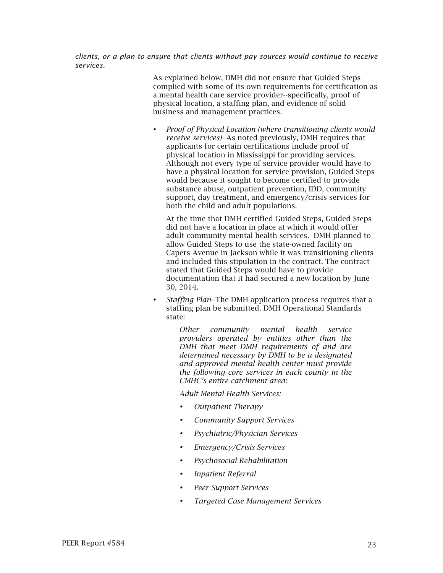*clients, or a plan to ensure that clients without pay sources would continue to receive services.*

> As explained below, DMH did not ensure that Guided Steps complied with some of its own requirements for certification as a mental health care service provider--specifically, proof of physical location, a staffing plan, and evidence of solid business and management practices.

 *Proof of Physical Location (where transitioning clients would receive services)*--As noted previously, DMH requires that applicants for certain certifications include proof of physical location in Mississippi for providing services. Although not every type of service provider would have to have a physical location for service provision, Guided Steps would because it sought to become certified to provide substance abuse, outpatient prevention, IDD, community support, day treatment, and emergency/crisis services for both the child and adult populations.

At the time that DMH certified Guided Steps, Guided Steps did not have a location in place at which it would offer adult community mental health services. DMH planned to allow Guided Steps to use the state-owned facility on Capers Avenue in Jackson while it was transitioning clients and included this stipulation in the contract. The contract stated that Guided Steps would have to provide documentation that it had secured a new location by June 30, 2014.

 *Staffing Plan*--The DMH application process requires that a staffing plan be submitted. DMH Operational Standards state:

> *Other community mental health service providers operated by entities other than the DMH that meet DMH requirements of and are determined necessary by DMH to be a designated and approved mental health center must provide the following core services in each county in the CMHC's entire catchment area:*

*Adult Mental Health Services:*

- *Outpatient Therapy*
- *Community Support Services*
- *Psychiatric/Physician Services*
- *Emergency/Crisis Services*
- *Psychosocial Rehabilitation*
- *Inpatient Referral*
- *Peer Support Services*
- *Targeted Case Management Services*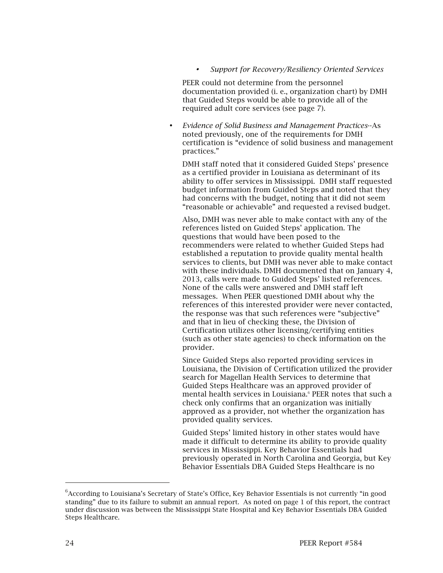*Support for Recovery/Resiliency Oriented Services*

PEER could not determine from the personnel documentation provided (i. e., organization chart) by DMH that Guided Steps would be able to provide all of the required adult core services (see page 7).

 *Evidence of Solid Business and Management Practices*--As noted previously, one of the requirements for DMH certification is "evidence of solid business and management practices."

DMH staff noted that it considered Guided Steps' presence as a certified provider in Louisiana as determinant of its ability to offer services in Mississippi. DMH staff requested budget information from Guided Steps and noted that they had concerns with the budget, noting that it did not seem "reasonable or achievable" and requested a revised budget.

Also, DMH was never able to make contact with any of the references listed on Guided Steps' application. The questions that would have been posed to the recommenders were related to whether Guided Steps had established a reputation to provide quality mental health services to clients, but DMH was never able to make contact with these individuals. DMH documented that on January 4, 2013, calls were made to Guided Steps' listed references. None of the calls were answered and DMH staff left messages. When PEER questioned DMH about why the references of this interested provider were never contacted, the response was that such references were "subjective" and that in lieu of checking these, the Division of Certification utilizes other licensing/certifying entities (such as other state agencies) to check information on the provider.

Since Guided Steps also reported providing services in Louisiana, the Division of Certification utilized the provider search for Magellan Health Services to determine that Guided Steps Healthcare was an approved provider of mental health services in Louisiana.<sup>6</sup> PEER notes that such a check only confirms that an organization was initially approved as a provider, not whether the organization has provided quality services.

Guided Steps' limited history in other states would have made it difficult to determine its ability to provide quality services in Mississippi. Key Behavior Essentials had previously operated in North Carolina and Georgia, but Key Behavior Essentials DBA Guided Steps Healthcare is no

-

 $6$ According to Louisiana's Secretary of State's Office, Key Behavior Essentials is not currently "in good standing" due to its failure to submit an annual report. As noted on page 1 of this report, the contract under discussion was between the Mississippi State Hospital and Key Behavior Essentials DBA Guided Steps Healthcare.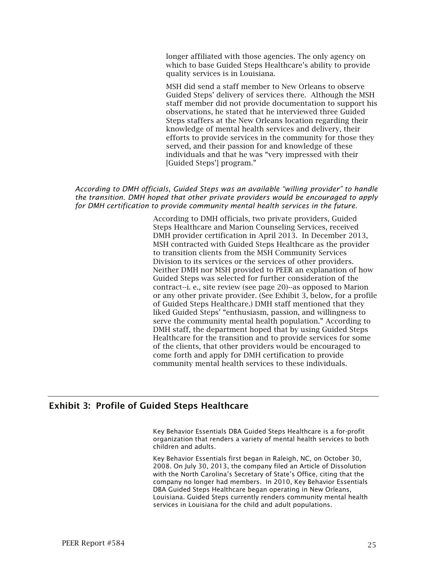longer affiliated with those agencies. The only agency on which to base Guided Steps Healthcare's ability to provide quality services is in Louisiana.

MSH did send a staff member to New Orleans to observe Guided Steps' delivery of services there. Although the MSH staff member did not provide documentation to support his observations, he stated that he interviewed three Guided Steps staffers at the New Orleans location regarding their knowledge of mental health services and delivery, their efforts to provide services in the community for those they served, and their passion for and knowledge of these individuals and that he was "very impressed with their [Guided Steps'] program."

#### *According to DMH officials, Guided Steps was an available "willing provider" to handle the transition. DMH hoped that other private providers would be encouraged to apply for DMH certification to provide community mental health services in the future.*

According to DMH officials, two private providers, Guided Steps Healthcare and Marion Counseling Services, received DMH provider certification in April 2013. In December 2013, MSH contracted with Guided Steps Healthcare as the provider to transition clients from the MSH Community Services Division to its services or the services of other providers. Neither DMH nor MSH provided to PEER an explanation of how Guided Steps was selected for further consideration of the contract--i. e., site review (see page 20)--as opposed to Marion or any other private provider. (See Exhibit 3, below, for a profile of Guided Steps Healthcare.) DMH staff mentioned that they liked Guided Steps' "enthusiasm, passion, and willingness to serve the community mental health population." According to DMH staff, the department hoped that by using Guided Steps Healthcare for the transition and to provide services for some of the clients, that other providers would be encouraged to come forth and apply for DMH certification to provide community mental health services to these individuals.

## Exhibit 3: Profile of Guided Steps Healthcare

Key Behavior Essentials DBA Guided Steps Healthcare is a for-profit organization that renders a variety of mental health services to both children and adults.

Key Behavior Essentials first began in Raleigh, NC, on October 30, 2008. On July 30, 2013, the company filed an Article of Dissolution with the North Carolina's Secretary of State's Office, citing that the company no longer had members. In 2010, Key Behavior Essentials DBA Guided Steps Healthcare began operating in New Orleans, Louisiana. Guided Steps currently renders community mental health services in Louisiana for the child and adult populations.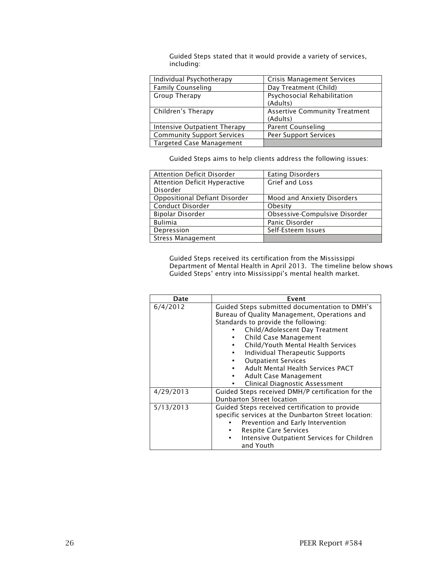Guided Steps stated that it would provide a variety of services, including:

| Individual Psychotherapy          | <b>Crisis Management Services</b>    |
|-----------------------------------|--------------------------------------|
| <b>Family Counseling</b>          | Day Treatment (Child)                |
| Group Therapy                     | Psychosocial Rehabilitation          |
|                                   | (Adults)                             |
| Children's Therapy                | <b>Assertive Community Treatment</b> |
|                                   | (Adults)                             |
| Intensive Outpatient Therapy      | Parent Counseling                    |
| <b>Community Support Services</b> | Peer Support Services                |
| <b>Targeted Case Management</b>   |                                      |

Guided Steps aims to help clients address the following issues:

| <b>Attention Deficit Disorder</b> | <b>Eating Disorders</b>       |
|-----------------------------------|-------------------------------|
| Attention Deficit Hyperactive     | <b>Grief and Loss</b>         |
| Disorder                          |                               |
| Oppositional Defiant Disorder     | Mood and Anxiety Disorders    |
| Conduct Disorder                  | Obesity                       |
| Bipolar Disorder                  | Obsessive-Compulsive Disorder |
| <b>Bulimia</b>                    | Panic Disorder                |
| Depression                        | Self-Esteem Issues            |
| <b>Stress Management</b>          |                               |

Guided Steps received its certification from the Mississippi Department of Mental Health in April 2013. The timeline below shows Guided Steps' entry into Mississippi's mental health market.

| Date      | Event                                                                                                                                                                                                                                                                                                                                                                                                  |
|-----------|--------------------------------------------------------------------------------------------------------------------------------------------------------------------------------------------------------------------------------------------------------------------------------------------------------------------------------------------------------------------------------------------------------|
| 6/4/2012  | Guided Steps submitted documentation to DMH's<br>Bureau of Quality Management, Operations and<br>Standards to provide the following:<br>Child/Adolescent Day Treatment<br>Child Case Management<br>Child/Youth Mental Health Services<br>Individual Therapeutic Supports<br><b>Outpatient Services</b><br>Adult Mental Health Services PACT<br>Adult Case Management<br>Clinical Diagnostic Assessment |
| 4/29/2013 | Guided Steps received DMH/P certification for the<br>Dunbarton Street location                                                                                                                                                                                                                                                                                                                         |
| 5/13/2013 | Guided Steps received certification to provide<br>specific services at the Dunbarton Street location:<br>Prevention and Early Intervention<br><b>Respite Care Services</b><br>Intensive Outpatient Services for Children<br>and Youth                                                                                                                                                                  |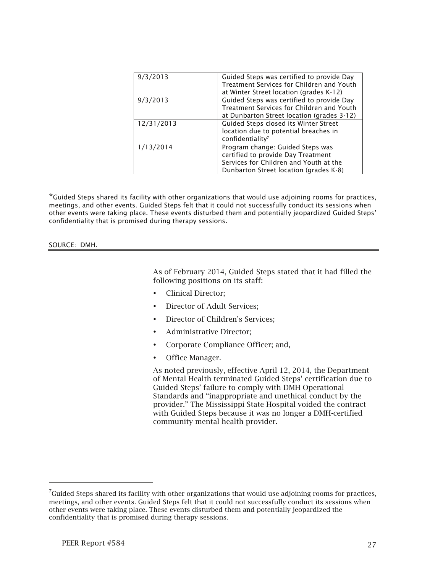| Guided Steps was certified to provide Day  |
|--------------------------------------------|
| Treatment Services for Children and Youth  |
| at Winter Street location (grades K-12)    |
| Guided Steps was certified to provide Day  |
| Treatment Services for Children and Youth  |
| at Dunbarton Street location (grades 3-12) |
| Guided Steps closed its Winter Street      |
| location due to potential breaches in      |
| confidentiality <sup>7</sup>               |
| Program change: Guided Steps was           |
| certified to provide Day Treatment         |
| Services for Children and Youth at the     |
| Dunbarton Street location (grades K-8)     |
|                                            |

\*Guided Steps shared its facility with other organizations that would use adjoining rooms for practices, meetings, and other events. Guided Steps felt that it could not successfully conduct its sessions when other events were taking place. These events disturbed them and potentially jeopardized Guided Steps' confidentiality that is promised during therapy sessions.

SOURCE: DMH.

As of February 2014, Guided Steps stated that it had filled the following positions on its staff:

- Clinical Director;
- Director of Adult Services;
- Director of Children's Services;
- Administrative Director;
- Corporate Compliance Officer; and,
- Office Manager.

As noted previously, effective April 12, 2014, the Department of Mental Health terminated Guided Steps' certification due to Guided Steps' failure to comply with DMH Operational Standards and "inappropriate and unethical conduct by the provider." The Mississippi State Hospital voided the contract with Guided Steps because it was no longer a DMH-certified community mental health provider.

 $^7$ Guided Steps shared its facility with other organizations that would use adjoining rooms for practices, meetings, and other events. Guided Steps felt that it could not successfully conduct its sessions when other events were taking place. These events disturbed them and potentially jeopardized the confidentiality that is promised during therapy sessions.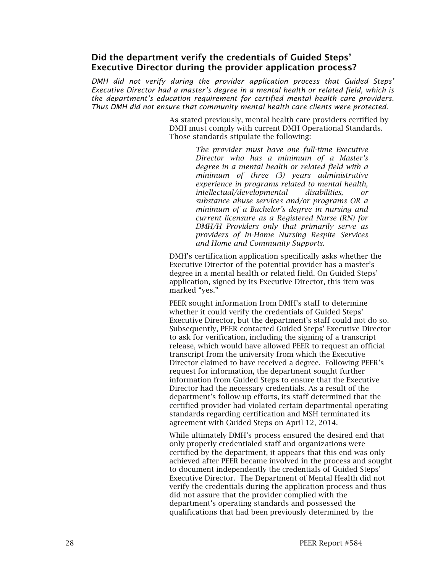## Did the department verify the credentials of Guided Steps' Executive Director during the provider application process?

*DMH did not verify during the provider application process that Guided Steps' Executive Director had a master's degree in a mental health or related field, which is the department's education requirement for certified mental health care providers. Thus DMH did not ensure that community mental health care clients were protected.* 

> As stated previously, mental health care providers certified by DMH must comply with current DMH Operational Standards. Those standards stipulate the following:

> > *The provider must have one full-time Executive Director who has a minimum of a Master's degree in a mental health or related field with a minimum of three (3) years administrative experience in programs related to mental health, intellectual/developmental disabilities, or substance abuse services and/or programs OR a minimum of a Bachelor's degree in nursing and current licensure as a Registered Nurse (RN) for DMH/H Providers only that primarily serve as providers of In-Home Nursing Respite Services and Home and Community Supports.*

DMH's certification application specifically asks whether the Executive Director of the potential provider has a master's degree in a mental health or related field. On Guided Steps' application, signed by its Executive Director, this item was marked "yes."

PEER sought information from DMH's staff to determine whether it could verify the credentials of Guided Steps' Executive Director, but the department's staff could not do so. Subsequently, PEER contacted Guided Steps' Executive Director to ask for verification, including the signing of a transcript release, which would have allowed PEER to request an official transcript from the university from which the Executive Director claimed to have received a degree. Following PEER's request for information, the department sought further information from Guided Steps to ensure that the Executive Director had the necessary credentials. As a result of the department's follow-up efforts, its staff determined that the certified provider had violated certain departmental operating standards regarding certification and MSH terminated its agreement with Guided Steps on April 12, 2014.

While ultimately DMH's process ensured the desired end that only properly credentialed staff and organizations were certified by the department, it appears that this end was only achieved after PEER became involved in the process and sought to document independently the credentials of Guided Steps' Executive Director. The Department of Mental Health did not verify the credentials during the application process and thus did not assure that the provider complied with the department's operating standards and possessed the qualifications that had been previously determined by the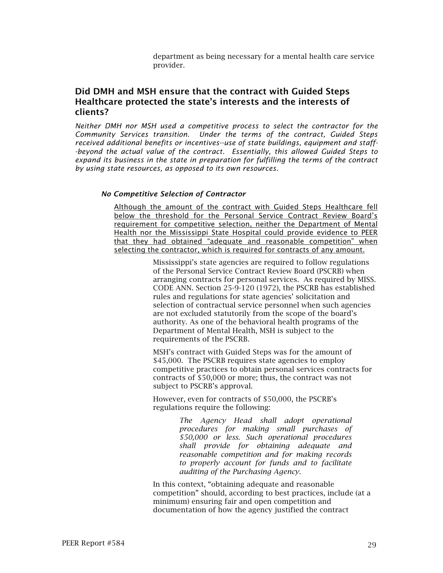department as being necessary for a mental health care service provider.

## Did DMH and MSH ensure that the contract with Guided Steps Healthcare protected the state's interests and the interests of clients?

*Neither DMH nor MSH used a competitive process to select the contractor for the Community Services transition. Under the terms of the contract, Guided Steps received additional benefits or incentives--use of state buildings, equipment and staff- -beyond the actual value of the contract. Essentially, this allowed Guided Steps to expand its business in the state in preparation for fulfilling the terms of the contract by using state resources, as opposed to its own resources.*

#### *No Competitive Selection of Contractor*

Although the amount of the contract with Guided Steps Healthcare fell below the threshold for the Personal Service Contract Review Board's requirement for competitive selection, neither the Department of Mental Health nor the Mississippi State Hospital could provide evidence to PEER that they had obtained "adequate and reasonable competition" when selecting the contractor, which is required for contracts of any amount.

> Mississippi's state agencies are required to follow regulations of the Personal Service Contract Review Board (PSCRB) when arranging contracts for personal services. As required by MISS. CODE ANN. Section 25-9-120 (1972), the PSCRB has established rules and regulations for state agencies' solicitation and selection of contractual service personnel when such agencies are not excluded statutorily from the scope of the board's authority. As one of the behavioral health programs of the Department of Mental Health, MSH is subject to the requirements of the PSCRB.

MSH's contract with Guided Steps was for the amount of \$45,000. The PSCRB requires state agencies to employ competitive practices to obtain personal services contracts for contracts of \$50,000 or more; thus, the contract was not subject to PSCRB's approval.

However, even for contracts of \$50,000, the PSCRB's regulations require the following:

> *The Agency Head shall adopt operational procedures for making small purchases of \$50,000 or less. Such operational procedures shall provide for obtaining adequate and reasonable competition and for making records to properly account for funds and to facilitate auditing of the Purchasing Agency.*

In this context, "obtaining adequate and reasonable competition" should, according to best practices, include (at a minimum) ensuring fair and open competition and documentation of how the agency justified the contract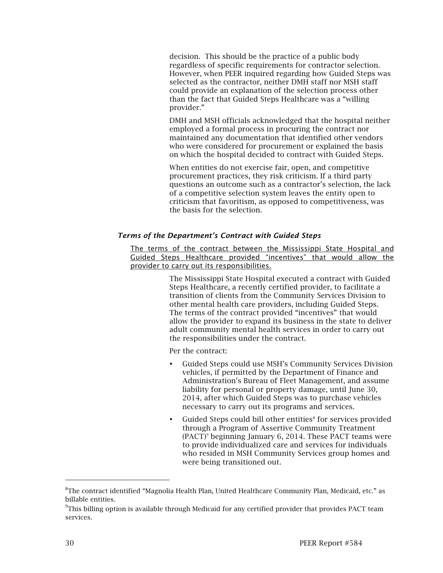decision. This should be the practice of a public body regardless of specific requirements for contractor selection. However, when PEER inquired regarding how Guided Steps was selected as the contractor, neither DMH staff nor MSH staff could provide an explanation of the selection process other than the fact that Guided Steps Healthcare was a "willing provider."

DMH and MSH officials acknowledged that the hospital neither employed a formal process in procuring the contract nor maintained any documentation that identified other vendors who were considered for procurement or explained the basis on which the hospital decided to contract with Guided Steps.

When entities do not exercise fair, open, and competitive procurement practices, they risk criticism. If a third party questions an outcome such as a contractor's selection, the lack of a competitive selection system leaves the entity open to criticism that favoritism, as opposed to competitiveness, was the basis for the selection.

### *Terms of the Department's Contract with Guided Steps*

The terms of the contract between the Mississippi State Hospital and Guided Steps Healthcare provided "incentives" that would allow the provider to carry out its responsibilities.

> The Mississippi State Hospital executed a contract with Guided Steps Healthcare, a recently certified provider, to facilitate a transition of clients from the Community Services Division to other mental health care providers, including Guided Steps. The terms of the contract provided "incentives" that would allow the provider to expand its business in the state to deliver adult community mental health services in order to carry out the responsibilities under the contract.

Per the contract:

- Guided Steps could use MSH's Community Services Division vehicles, if permitted by the Department of Finance and Administration's Bureau of Fleet Management, and assume liability for personal or property damage, until June 30, 2014, after which Guided Steps was to purchase vehicles necessary to carry out its programs and services.
- Guided Steps could bill other entities<sup>8</sup> for services provided through a Program of Assertive Community Treatment (PACT)9 beginning January 6, 2014. These PACT teams were to provide individualized care and services for individuals who resided in MSH Community Services group homes and were being transitioned out.

-

 ${}^{8}$ The contract identified "Magnolia Health Plan, United Healthcare Community Plan, Medicaid, etc." as billable entities.

 $\rm{PThis}$  billing option is available through Medicaid for any certified provider that provides PACT team services.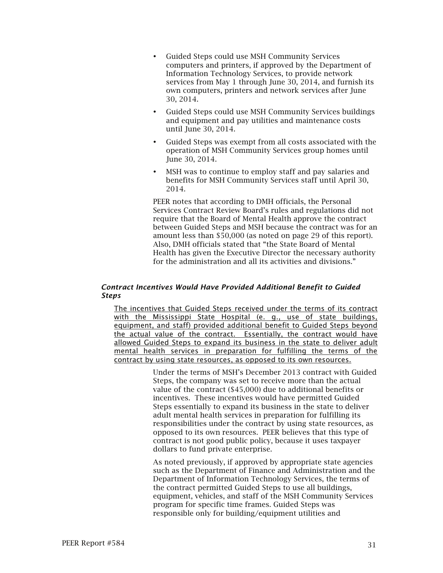- Guided Steps could use MSH Community Services computers and printers, if approved by the Department of Information Technology Services, to provide network services from May 1 through June 30, 2014, and furnish its own computers, printers and network services after June 30, 2014.
- Guided Steps could use MSH Community Services buildings and equipment and pay utilities and maintenance costs until June 30, 2014.
- Guided Steps was exempt from all costs associated with the operation of MSH Community Services group homes until June 30, 2014.
- MSH was to continue to employ staff and pay salaries and benefits for MSH Community Services staff until April 30, 2014.

PEER notes that according to DMH officials, the Personal Services Contract Review Board's rules and regulations did not require that the Board of Mental Health approve the contract between Guided Steps and MSH because the contract was for an amount less than \$50,000 (as noted on page 29 of this report). Also, DMH officials stated that "the State Board of Mental Health has given the Executive Director the necessary authority for the administration and all its activities and divisions."

### *Contract Incentives Would Have Provided Additional Benefit to Guided Steps*

The incentives that Guided Steps received under the terms of its contract with the Mississippi State Hospital (e. g., use of state buildings, equipment, and staff) provided additional benefit to Guided Steps beyond the actual value of the contract. Essentially, the contract would have allowed Guided Steps to expand its business in the state to deliver adult mental health services in preparation for fulfilling the terms of the contract by using state resources, as opposed to its own resources.

> Under the terms of MSH's December 2013 contract with Guided Steps, the company was set to receive more than the actual value of the contract (\$45,000) due to additional benefits or incentives. These incentives would have permitted Guided Steps essentially to expand its business in the state to deliver adult mental health services in preparation for fulfilling its responsibilities under the contract by using state resources, as opposed to its own resources. PEER believes that this type of contract is not good public policy, because it uses taxpayer dollars to fund private enterprise.

> As noted previously, if approved by appropriate state agencies such as the Department of Finance and Administration and the Department of Information Technology Services, the terms of the contract permitted Guided Steps to use all buildings, equipment, vehicles, and staff of the MSH Community Services program for specific time frames. Guided Steps was responsible only for building/equipment utilities and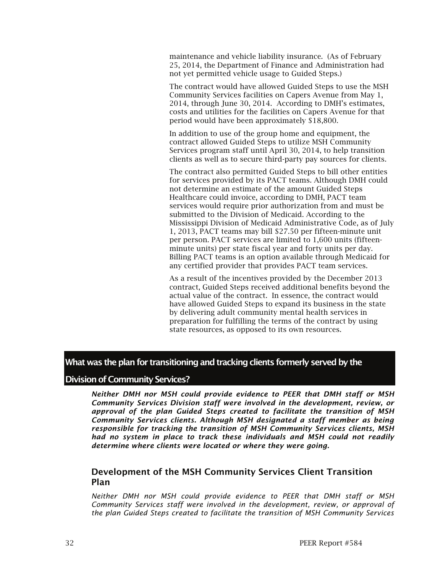maintenance and vehicle liability insurance. (As of February 25, 2014, the Department of Finance and Administration had not yet permitted vehicle usage to Guided Steps.)

The contract would have allowed Guided Steps to use the MSH Community Services facilities on Capers Avenue from May 1, 2014, through June 30, 2014. According to DMH's estimates, costs and utilities for the facilities on Capers Avenue for that period would have been approximately \$18,800.

In addition to use of the group home and equipment, the contract allowed Guided Steps to utilize MSH Community Services program staff until April 30, 2014, to help transition clients as well as to secure third-party pay sources for clients.

The contract also permitted Guided Steps to bill other entities for services provided by its PACT teams. Although DMH could not determine an estimate of the amount Guided Steps Healthcare could invoice, according to DMH, PACT team services would require prior authorization from and must be submitted to the Division of Medicaid. According to the Mississippi Division of Medicaid Administrative Code, as of July 1, 2013, PACT teams may bill \$27.50 per fifteen-minute unit per person. PACT services are limited to 1,600 units (fifteenminute units) per state fiscal year and forty units per day. Billing PACT teams is an option available through Medicaid for any certified provider that provides PACT team services.

As a result of the incentives provided by the December 2013 contract, Guided Steps received additional benefits beyond the actual value of the contract. In essence, the contract would have allowed Guided Steps to expand its business in the state by delivering adult community mental health services in preparation for fulfilling the terms of the contract by using state resources, as opposed to its own resources.

## What was the plan for transitioning and tracking clients formerly served by the

### Division of Community Services?

*Neither DMH nor MSH could provide evidence to PEER that DMH staff or MSH Community Services Division staff were involved in the development, review, or approval of the plan Guided Steps created to facilitate the transition of MSH Community Services clients. Although MSH designated a staff member as being responsible for tracking the transition of MSH Community Services clients, MSH had no system in place to track these individuals and MSH could not readily determine where clients were located or where they were going.*

## Development of the MSH Community Services Client Transition Plan

*Neither DMH nor MSH could provide evidence to PEER that DMH staff or MSH Community Services staff were involved in the development, review, or approval of the plan Guided Steps created to facilitate the transition of MSH Community Services*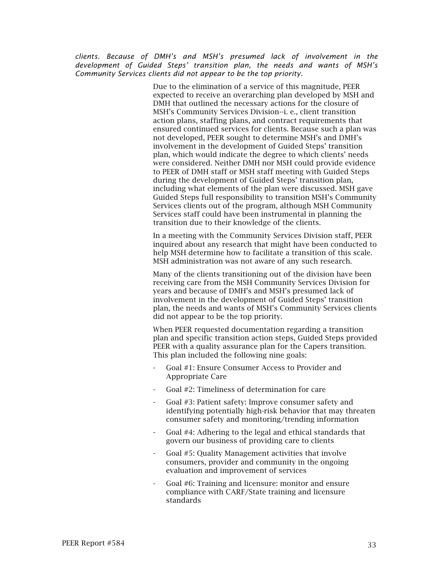*clients. Because of DMH's and MSH's presumed lack of involvement in the development of Guided Steps' transition plan, the needs and wants of MSH's Community Services clients did not appear to be the top priority.*

> Due to the elimination of a service of this magnitude, PEER expected to receive an overarching plan developed by MSH and DMH that outlined the necessary actions for the closure of MSH's Community Services Division--i. e., client transition action plans, staffing plans, and contract requirements that ensured continued services for clients. Because such a plan was not developed, PEER sought to determine MSH's and DMH's involvement in the development of Guided Steps' transition plan, which would indicate the degree to which clients' needs were considered. Neither DMH nor MSH could provide evidence to PEER of DMH staff or MSH staff meeting with Guided Steps during the development of Guided Steps' transition plan, including what elements of the plan were discussed. MSH gave Guided Steps full responsibility to transition MSH's Community Services clients out of the program, although MSH Community Services staff could have been instrumental in planning the transition due to their knowledge of the clients.

> In a meeting with the Community Services Division staff, PEER inquired about any research that might have been conducted to help MSH determine how to facilitate a transition of this scale. MSH administration was not aware of any such research.

> Many of the clients transitioning out of the division have been receiving care from the MSH Community Services Division for years and because of DMH's and MSH's presumed lack of involvement in the development of Guided Steps' transition plan, the needs and wants of MSH's Community Services clients did not appear to be the top priority.

> When PEER requested documentation regarding a transition plan and specific transition action steps, Guided Steps provided PEER with a quality assurance plan for the Capers transition. This plan included the following nine goals:

- Goal #1: Ensure Consumer Access to Provider and Appropriate Care
- Goal #2: Timeliness of determination for care
- Goal #3: Patient safety: Improve consumer safety and identifying potentially high-risk behavior that may threaten consumer safety and monitoring/trending information
- Goal #4: Adhering to the legal and ethical standards that govern our business of providing care to clients
- Goal #5: Quality Management activities that involve consumers, provider and community in the ongoing evaluation and improvement of services
- Goal #6: Training and licensure: monitor and ensure compliance with CARF/State training and licensure standards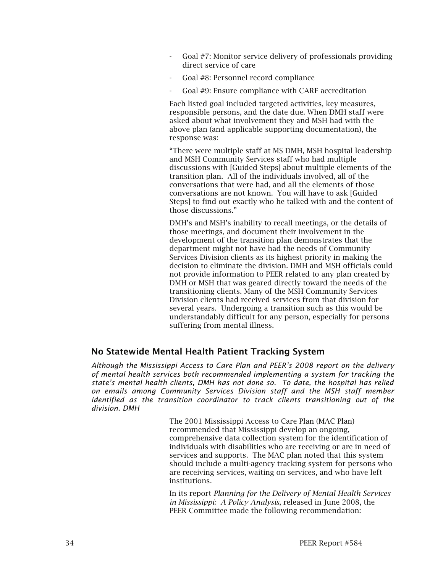- Goal #7: Monitor service delivery of professionals providing direct service of care
- Goal #8: Personnel record compliance
- Goal #9: Ensure compliance with CARF accreditation

Each listed goal included targeted activities, key measures, responsible persons, and the date due. When DMH staff were asked about what involvement they and MSH had with the above plan (and applicable supporting documentation), the response was:

"There were multiple staff at MS DMH, MSH hospital leadership and MSH Community Services staff who had multiple discussions with [Guided Steps] about multiple elements of the transition plan. All of the individuals involved, all of the conversations that were had, and all the elements of those conversations are not known. You will have to ask [Guided Steps] to find out exactly who he talked with and the content of those discussions."

DMH's and MSH's inability to recall meetings, or the details of those meetings, and document their involvement in the development of the transition plan demonstrates that the department might not have had the needs of Community Services Division clients as its highest priority in making the decision to eliminate the division. DMH and MSH officials could not provide information to PEER related to any plan created by DMH or MSH that was geared directly toward the needs of the transitioning clients. Many of the MSH Community Services Division clients had received services from that division for several years. Undergoing a transition such as this would be understandably difficult for any person, especially for persons suffering from mental illness.

## No Statewide Mental Health Patient Tracking System

*Although the Mississippi Access to Care Plan and PEER's 2008 report on the delivery of mental health services both recommended implementing a system for tracking the state's mental health clients, DMH has not done so. To date, the hospital has relied on emails among Community Services Division staff and the MSH staff member identified as the transition coordinator to track clients transitioning out of the division. DMH* 

> The 2001 Mississippi Access to Care Plan (MAC Plan) recommended that Mississippi develop an ongoing, comprehensive data collection system for the identification of individuals with disabilities who are receiving or are in need of services and supports. The MAC plan noted that this system should include a multi-agency tracking system for persons who are receiving services, waiting on services, and who have left institutions.

> In its report *Planning for the Delivery of Mental Health Services in Mississippi: A Policy Analysis*, released in June 2008, the PEER Committee made the following recommendation: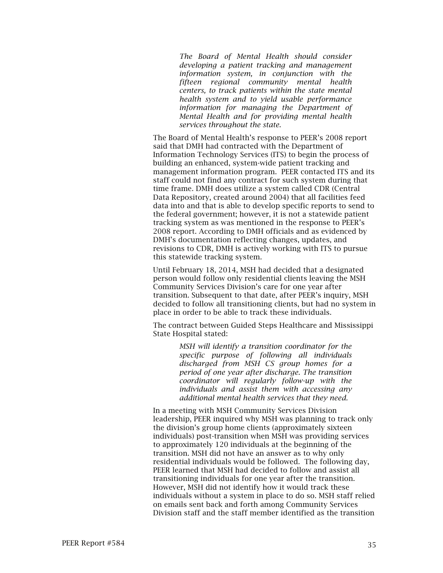*The Board of Mental Health should consider developing a patient tracking and management information system, in conjunction with the fifteen regional community mental health centers, to track patients within the state mental health system and to yield usable performance information for managing the Department of Mental Health and for providing mental health services throughout the state.*

The Board of Mental Health's response to PEER's 2008 report said that DMH had contracted with the Department of Information Technology Services (ITS) to begin the process of building an enhanced, system-wide patient tracking and management information program. PEER contacted ITS and its staff could not find any contract for such system during that time frame. DMH does utilize a system called CDR (Central Data Repository, created around 2004) that all facilities feed data into and that is able to develop specific reports to send to the federal government; however, it is not a statewide patient tracking system as was mentioned in the response to PEER's 2008 report. According to DMH officials and as evidenced by DMH's documentation reflecting changes, updates, and revisions to CDR, DMH is actively working with ITS to pursue this statewide tracking system.

Until February 18, 2014, MSH had decided that a designated person would follow only residential clients leaving the MSH Community Services Division's care for one year after transition. Subsequent to that date, after PEER's inquiry, MSH decided to follow all transitioning clients, but had no system in place in order to be able to track these individuals.

The contract between Guided Steps Healthcare and Mississippi State Hospital stated:

> *MSH will identify a transition coordinator for the specific purpose of following all individuals discharged from MSH CS group homes for a period of one year after discharge. The transition coordinator will regularly follow-up with the individuals and assist them with accessing any additional mental health services that they need.*

In a meeting with MSH Community Services Division leadership, PEER inquired why MSH was planning to track only the division's group home clients (approximately sixteen individuals) post-transition when MSH was providing services to approximately 120 individuals at the beginning of the transition. MSH did not have an answer as to why only residential individuals would be followed. The following day, PEER learned that MSH had decided to follow and assist all transitioning individuals for one year after the transition. However, MSH did not identify how it would track these individuals without a system in place to do so. MSH staff relied on emails sent back and forth among Community Services Division staff and the staff member identified as the transition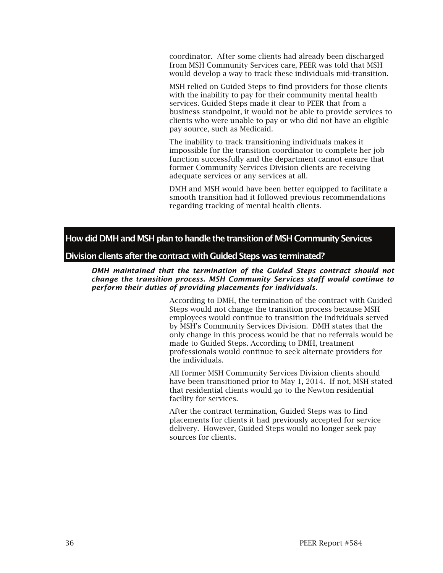coordinator. After some clients had already been discharged from MSH Community Services care, PEER was told that MSH would develop a way to track these individuals mid-transition.

MSH relied on Guided Steps to find providers for those clients with the inability to pay for their community mental health services. Guided Steps made it clear to PEER that from a business standpoint, it would not be able to provide services to clients who were unable to pay or who did not have an eligible pay source, such as Medicaid.

The inability to track transitioning individuals makes it impossible for the transition coordinator to complete her job function successfully and the department cannot ensure that former Community Services Division clients are receiving adequate services or any services at all.

DMH and MSH would have been better equipped to facilitate a smooth transition had it followed previous recommendations regarding tracking of mental health clients.

How did DMH and MSH plan to handle the transition of MSH Community Services

### Division clients after the contract with Guided Steps was terminated?

*DMH maintained that the termination of the Guided Steps contract should not change the transition process. MSH Community Services staff would continue to perform their duties of providing placements for individuals.*

> According to DMH, the termination of the contract with Guided Steps would not change the transition process because MSH employees would continue to transition the individuals served by MSH's Community Services Division. DMH states that the only change in this process would be that no referrals would be made to Guided Steps. According to DMH, treatment professionals would continue to seek alternate providers for the individuals.

> All former MSH Community Services Division clients should have been transitioned prior to May 1, 2014. If not, MSH stated that residential clients would go to the Newton residential facility for services.

After the contract termination, Guided Steps was to find placements for clients it had previously accepted for service delivery. However, Guided Steps would no longer seek pay sources for clients.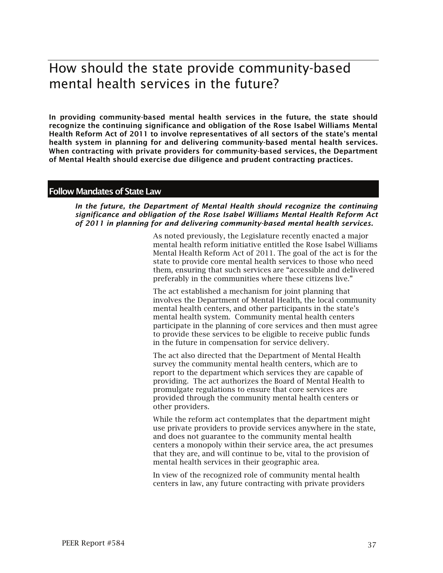# How should the state provide community-based mental health services in the future?

In providing community-based mental health services in the future, the state should recognize the continuing significance and obligation of the Rose Isabel Williams Mental Health Reform Act of 2011 to involve representatives of all sectors of the state's mental health system in planning for and delivering community-based mental health services. When contracting with private providers for community-based services, the Department of Mental Health should exercise due diligence and prudent contracting practices.

### Follow Mandates of State Law

*In the future, the Department of Mental Health should recognize the continuing significance and obligation of the Rose Isabel Williams Mental Health Reform Act of 2011 in planning for and delivering community-based mental health services.*

> As noted previously, the Legislature recently enacted a major mental health reform initiative entitled the Rose Isabel Williams Mental Health Reform Act of 2011. The goal of the act is for the state to provide core mental health services to those who need them, ensuring that such services are "accessible and delivered preferably in the communities where these citizens live."

> The act established a mechanism for joint planning that involves the Department of Mental Health, the local community mental health centers, and other participants in the state's mental health system. Community mental health centers participate in the planning of core services and then must agree to provide these services to be eligible to receive public funds in the future in compensation for service delivery.

The act also directed that the Department of Mental Health survey the community mental health centers, which are to report to the department which services they are capable of providing. The act authorizes the Board of Mental Health to promulgate regulations to ensure that core services are provided through the community mental health centers or other providers.

While the reform act contemplates that the department might use private providers to provide services anywhere in the state, and does not guarantee to the community mental health centers a monopoly within their service area, the act presumes that they are, and will continue to be, vital to the provision of mental health services in their geographic area.

In view of the recognized role of community mental health centers in law, any future contracting with private providers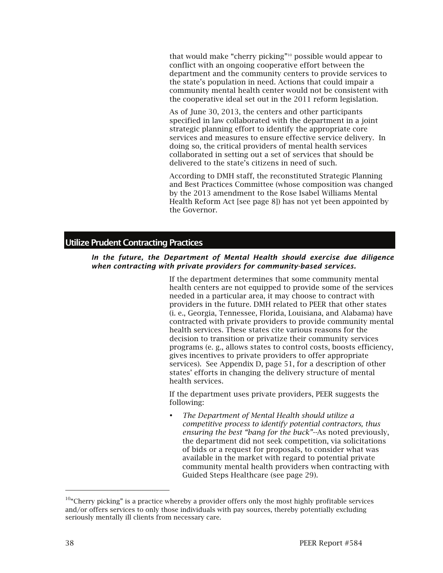that would make "cherry picking"10 possible would appear to conflict with an ongoing cooperative effort between the department and the community centers to provide services to the state's population in need. Actions that could impair a community mental health center would not be consistent with the cooperative ideal set out in the 2011 reform legislation.

As of June 30, 2013, the centers and other participants specified in law collaborated with the department in a joint strategic planning effort to identify the appropriate core services and measures to ensure effective service delivery. In doing so, the critical providers of mental health services collaborated in setting out a set of services that should be delivered to the state's citizens in need of such.

According to DMH staff, the reconstituted Strategic Planning and Best Practices Committee (whose composition was changed by the 2013 amendment to the Rose Isabel Williams Mental Health Reform Act [see page 8]) has not yet been appointed by the Governor.

### Utilize Prudent Contracting Practices

#### *In the future, the Department of Mental Health should exercise due diligence when contracting with private providers for community-based services.*

If the department determines that some community mental health centers are not equipped to provide some of the services needed in a particular area, it may choose to contract with providers in the future. DMH related to PEER that other states (i. e., Georgia, Tennessee, Florida, Louisiana, and Alabama) have contracted with private providers to provide community mental health services. These states cite various reasons for the decision to transition or privatize their community services programs (e. g., allows states to control costs, boosts efficiency, gives incentives to private providers to offer appropriate services). See Appendix D, page 51, for a description of other states' efforts in changing the delivery structure of mental health services.

If the department uses private providers, PEER suggests the following:

 *The Department of Mental Health should utilize a competitive process to identify potential contractors, thus ensuring the best "bang for the buck"--*As noted previously, the department did not seek competition, via solicitations of bids or a request for proposals, to consider what was available in the market with regard to potential private community mental health providers when contracting with Guided Steps Healthcare (see page 29).

-

 $10$ "Cherry picking" is a practice whereby a provider offers only the most highly profitable services and/or offers services to only those individuals with pay sources, thereby potentially excluding seriously mentally ill clients from necessary care.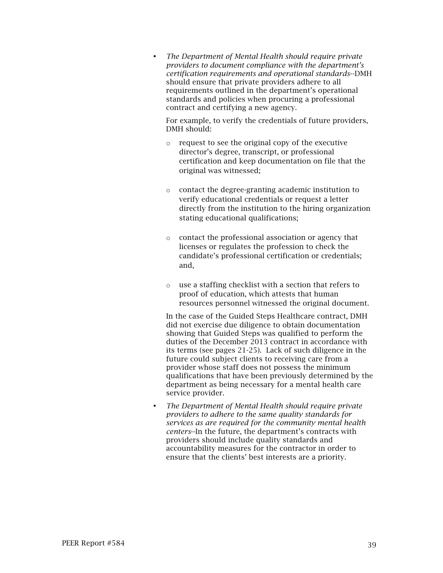*The Department of Mental Health should require private providers to document compliance with the department's certification requirements and operational standards*--DMH should ensure that private providers adhere to all requirements outlined in the department's operational standards and policies when procuring a professional contract and certifying a new agency.

For example, to verify the credentials of future providers, DMH should:

- o request to see the original copy of the executive director's degree, transcript, or professional certification and keep documentation on file that the original was witnessed;
- o contact the degree-granting academic institution to verify educational credentials or request a letter directly from the institution to the hiring organization stating educational qualifications;
- o contact the professional association or agency that licenses or regulates the profession to check the candidate's professional certification or credentials; and,
- o use a staffing checklist with a section that refers to proof of education, which attests that human resources personnel witnessed the original document.

In the case of the Guided Steps Healthcare contract, DMH did not exercise due diligence to obtain documentation showing that Guided Steps was qualified to perform the duties of the December 2013 contract in accordance with its terms (see pages 21-25). Lack of such diligence in the future could subject clients to receiving care from a provider whose staff does not possess the minimum qualifications that have been previously determined by the department as being necessary for a mental health care service provider.

 *The Department of Mental Health should require private providers to adhere to the same quality standards for services as are required for the community mental health centers*--In the future, the department's contracts with providers should include quality standards and accountability measures for the contractor in order to ensure that the clients' best interests are a priority.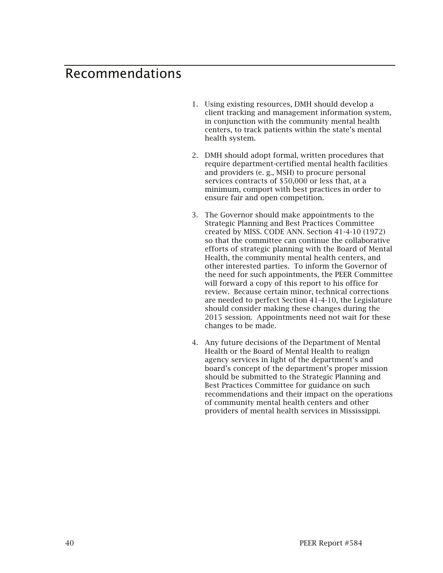## Recommendations

- 1. Using existing resources, DMH should develop a client tracking and management information system, in conjunction with the community mental health centers, to track patients within the state's mental health system.
- 2. DMH should adopt formal, written procedures that require department-certified mental health facilities and providers (e. g., MSH) to procure personal services contracts of \$50,000 or less that, at a minimum, comport with best practices in order to ensure fair and open competition.
- 3. The Governor should make appointments to the Strategic Planning and Best Practices Committee created by MISS. CODE ANN. Section 41-4-10 (1972) so that the committee can continue the collaborative efforts of strategic planning with the Board of Mental Health, the community mental health centers, and other interested parties. To inform the Governor of the need for such appointments, the PEER Committee will forward a copy of this report to his office for review. Because certain minor, technical corrections are needed to perfect Section 41-4-10, the Legislature should consider making these changes during the 2015 session. Appointments need not wait for these changes to be made.
- 4. Any future decisions of the Department of Mental Health or the Board of Mental Health to realign agency services in light of the department's and board's concept of the department's proper mission should be submitted to the Strategic Planning and Best Practices Committee for guidance on such recommendations and their impact on the operations of community mental health centers and other providers of mental health services in Mississippi.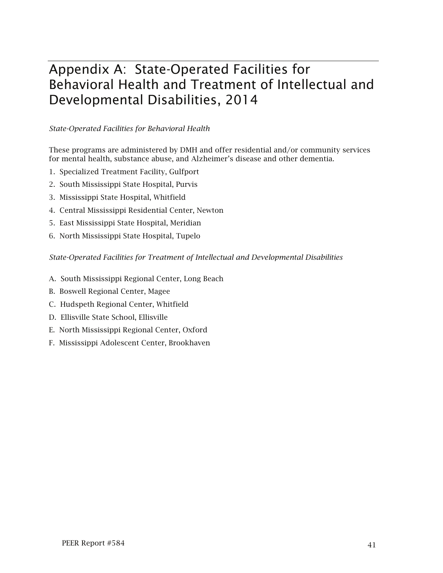# Appendix A: State-Operated Facilities for Behavioral Health and Treatment of Intellectual and Developmental Disabilities, 2014

*State-Operated Facilities for Behavioral Health*

These programs are administered by DMH and offer residential and/or community services for mental health, substance abuse, and Alzheimer's disease and other dementia.

- 1. Specialized Treatment Facility, Gulfport
- 2. South Mississippi State Hospital, Purvis
- 3. Mississippi State Hospital, Whitfield
- 4. Central Mississippi Residential Center, Newton
- 5. East Mississippi State Hospital, Meridian
- 6. North Mississippi State Hospital, Tupelo

*State-Operated Facilities for Treatment of Intellectual and Developmental Disabilities*

- A. South Mississippi Regional Center, Long Beach
- B. Boswell Regional Center, Magee
- C. Hudspeth Regional Center, Whitfield
- D. Ellisville State School, Ellisville
- E. North Mississippi Regional Center, Oxford
- F. Mississippi Adolescent Center, Brookhaven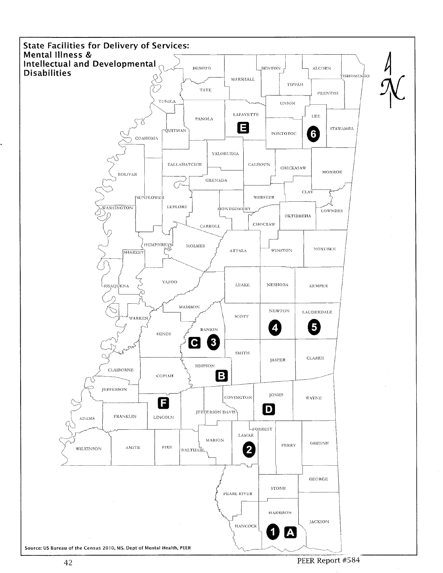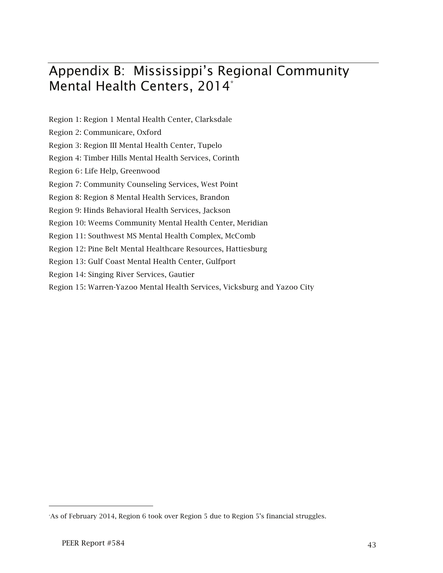# Appendix B: Mississippi's Regional Community Mental Health Centers, 2014<sup>\*</sup>

- Region 1: Region 1 Mental Health Center, Clarksdale
- Region 2: Communicare, Oxford
- Region 3: Region III Mental Health Center, Tupelo
- Region 4: Timber Hills Mental Health Services, Corinth
- Region 6<sup>∗</sup> : Life Help, Greenwood
- Region 7: Community Counseling Services, West Point
- Region 8: Region 8 Mental Health Services, Brandon
- Region 9: Hinds Behavioral Health Services, Jackson
- Region 10: Weems Community Mental Health Center, Meridian
- Region 11: Southwest MS Mental Health Complex, McComb
- Region 12: Pine Belt Mental Healthcare Resources, Hattiesburg
- Region 13: Gulf Coast Mental Health Center, Gulfport
- Region 14: Singing River Services, Gautier
- Region 15: Warren-Yazoo Mental Health Services, Vicksburg and Yazoo City

l

<sup>∗</sup> As of February 2014, Region 6 took over Region 5 due to Region 5's financial struggles.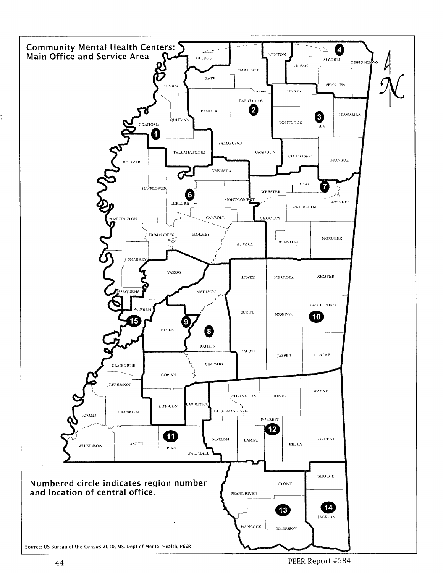

PEER Report #584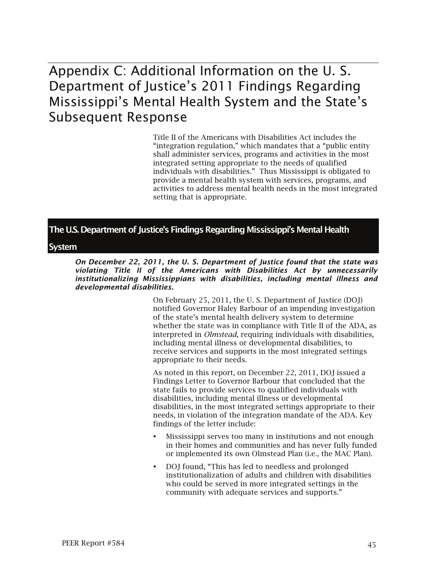## Appendix C: Additional Information on the U. S. Department of Justice's 2011 Findings Regarding Mississippi's Mental Health System and the State's Subsequent Response

Title II of the Americans with Disabilities Act includes the "integration regulation," which mandates that a "public entity shall administer services, programs and activities in the most integrated setting appropriate to the needs of qualified individuals with disabilities." Thus Mississippi is obligated to provide a mental health system with services, programs, and activities to address mental health needs in the most integrated setting that is appropriate.

## The U.S. Department of Justice's Findings Regarding Mississippi's Mental Health

### System

*On December 22, 2011, the U. S. Department of Justice found that the state was violating Title II of the Americans with Disabilities Act by unnecessarily institutionalizing Mississippians with disabilities, including mental illness and developmental disabilities.* 

> On February 25, 2011, the U. S. Department of Justice (DOJ) notified Governor Haley Barbour of an impending investigation of the state's mental health delivery system to determine whether the state was in compliance with Title II of the ADA, as interpreted in *Olmstead*, requiring individuals with disabilities, including mental illness or developmental disabilities, to receive services and supports in the most integrated settings appropriate to their needs.

> As noted in this report, on December 22, 2011, DOJ issued a Findings Letter to Governor Barbour that concluded that the state fails to provide services to qualified individuals with disabilities, including mental illness or developmental disabilities, in the most integrated settings appropriate to their needs, in violation of the integration mandate of the ADA. Key findings of the letter include:

- Mississippi serves too many in institutions and not enough in their homes and communities and has never fully funded or implemented its own Olmstead Plan (i.e., the MAC Plan).
- DOJ found, "This has led to needless and prolonged institutionalization of adults and children with disabilities who could be served in more integrated settings in the community with adequate services and supports."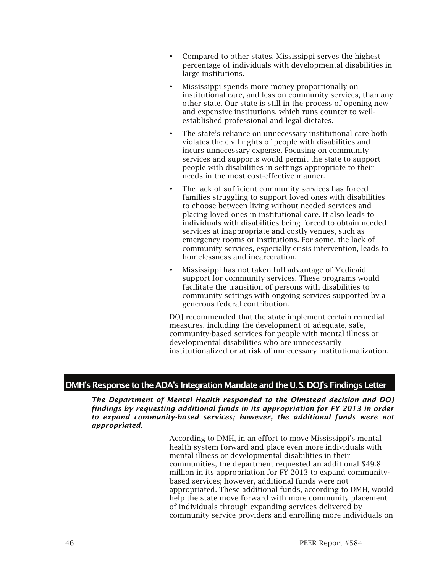- Compared to other states, Mississippi serves the highest percentage of individuals with developmental disabilities in large institutions.
- Mississippi spends more money proportionally on institutional care, and less on community services, than any other state. Our state is still in the process of opening new and expensive institutions, which runs counter to wellestablished professional and legal dictates.
- The state's reliance on unnecessary institutional care both violates the civil rights of people with disabilities and incurs unnecessary expense. Focusing on community services and supports would permit the state to support people with disabilities in settings appropriate to their needs in the most cost-effective manner.
- The lack of sufficient community services has forced families struggling to support loved ones with disabilities to choose between living without needed services and placing loved ones in institutional care. It also leads to individuals with disabilities being forced to obtain needed services at inappropriate and costly venues, such as emergency rooms or institutions. For some, the lack of community services, especially crisis intervention, leads to homelessness and incarceration.
- Mississippi has not taken full advantage of Medicaid support for community services. These programs would facilitate the transition of persons with disabilities to community settings with ongoing services supported by a generous federal contribution.

DOJ recommended that the state implement certain remedial measures, including the development of adequate, safe, community-based services for people with mental illness or developmental disabilities who are unnecessarily institutionalized or at risk of unnecessary institutionalization.

## DMH's Response to the ADA's Integration Mandate and the U. S. DOJ's Findings Letter

*The Department of Mental Health responded to the Olmstead decision and DOJ findings by requesting additional funds in its appropriation for FY 2013 in order to expand community-based services; however, the additional funds were not appropriated.* 

> According to DMH, in an effort to move Mississippi's mental health system forward and place even more individuals with mental illness or developmental disabilities in their communities, the department requested an additional \$49.8 million in its appropriation for FY 2013 to expand communitybased services; however, additional funds were not appropriated. These additional funds, according to DMH, would help the state move forward with more community placement of individuals through expanding services delivered by community service providers and enrolling more individuals on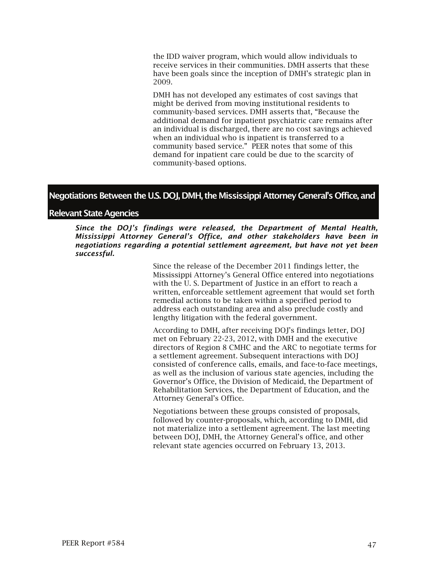the IDD waiver program, which would allow individuals to receive services in their communities. DMH asserts that these have been goals since the inception of DMH's strategic plan in 2009.

DMH has not developed any estimates of cost savings that might be derived from moving institutional residents to community-based services. DMH asserts that, "Because the additional demand for inpatient psychiatric care remains after an individual is discharged, there are no cost savings achieved when an individual who is inpatient is transferred to a community based service." PEER notes that some of this demand for inpatient care could be due to the scarcity of community-based options.

### Negotiations Between the U.S. DOJ, DMH, the Mississippi Attorney General's Office, and

### Relevant State Agencies

*Since the DOJ's findings were released, the Department of Mental Health, Mississippi Attorney General's Office, and other stakeholders have been in negotiations regarding a potential settlement agreement, but have not yet been successful.* 

> Since the release of the December 2011 findings letter, the Mississippi Attorney's General Office entered into negotiations with the U. S. Department of Justice in an effort to reach a written, enforceable settlement agreement that would set forth remedial actions to be taken within a specified period to address each outstanding area and also preclude costly and lengthy litigation with the federal government.

According to DMH, after receiving DOJ's findings letter, DOJ met on February 22-23, 2012, with DMH and the executive directors of Region 8 CMHC and the ARC to negotiate terms for a settlement agreement. Subsequent interactions with DOJ consisted of conference calls, emails, and face-to-face meetings, as well as the inclusion of various state agencies, including the Governor's Office, the Division of Medicaid, the Department of Rehabilitation Services, the Department of Education, and the Attorney General's Office.

Negotiations between these groups consisted of proposals, followed by counter-proposals, which, according to DMH, did not materialize into a settlement agreement. The last meeting between DOJ, DMH, the Attorney General's office, and other relevant state agencies occurred on February 13, 2013.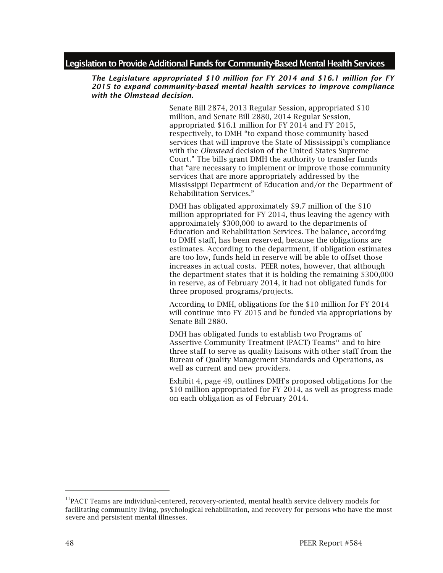### Legislation to Provide Additional Funds for Community-Based Mental Health Services

#### *The Legislature appropriated \$10 million for FY 2014 and \$16.1 million for FY 2015 to expand community-based mental health services to improve compliance with the Olmstead decision.*

Senate Bill 2874, 2013 Regular Session, appropriated \$10 million, and Senate Bill 2880, 2014 Regular Session, appropriated \$16.1 million for FY 2014 and FY 2015, respectively, to DMH "to expand those community based services that will improve the State of Mississippi's compliance with the *Olmstead* decision of the United States Supreme Court." The bills grant DMH the authority to transfer funds that "are necessary to implement or improve those community services that are more appropriately addressed by the Mississippi Department of Education and/or the Department of Rehabilitation Services."

DMH has obligated approximately \$9.7 million of the \$10 million appropriated for FY 2014, thus leaving the agency with approximately \$300,000 to award to the departments of Education and Rehabilitation Services. The balance, according to DMH staff, has been reserved, because the obligations are estimates. According to the department, if obligation estimates are too low, funds held in reserve will be able to offset those increases in actual costs. PEER notes, however, that although the department states that it is holding the remaining \$300,000 in reserve, as of February 2014, it had not obligated funds for three proposed programs/projects.

According to DMH, obligations for the \$10 million for FY 2014 will continue into FY 2015 and be funded via appropriations by Senate Bill 2880.

DMH has obligated funds to establish two Programs of Assertive Community Treatment (PACT) Teams<sup>11</sup> and to hire three staff to serve as quality liaisons with other staff from the Bureau of Quality Management Standards and Operations, as well as current and new providers.

Exhibit 4, page 49, outlines DMH's proposed obligations for the \$10 million appropriated for FY 2014, as well as progress made on each obligation as of February 2014.

-

<sup>&</sup>lt;sup>11</sup>PACT Teams are individual-centered, recovery-oriented, mental health service delivery models for facilitating community living, psychological rehabilitation, and recovery for persons who have the most severe and persistent mental illnesses.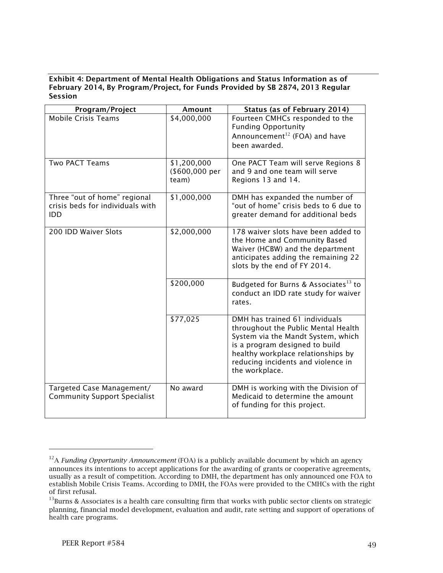### Exhibit 4: Department of Mental Health Obligations and Status Information as of February 2014, By Program/Project, for Funds Provided by SB 2874, 2013 Regular Session

| Program/Project                                                         | Amount                                 | <b>Status (as of February 2014)</b>                                                                                                                                                                                                         |
|-------------------------------------------------------------------------|----------------------------------------|---------------------------------------------------------------------------------------------------------------------------------------------------------------------------------------------------------------------------------------------|
| <b>Mobile Crisis Teams</b>                                              | \$4,000,000                            | Fourteen CMHCs responded to the<br><b>Funding Opportunity</b><br>Announcement <sup>12</sup> (FOA) and have<br>been awarded.                                                                                                                 |
| <b>Two PACT Teams</b>                                                   | \$1,200,000<br>(\$600,000 per<br>team) | One PACT Team will serve Regions 8<br>and 9 and one team will serve<br>Regions 13 and 14.                                                                                                                                                   |
| Three "out of home" regional<br>crisis beds for individuals with<br>IDD | \$1,000,000                            | DMH has expanded the number of<br>"out of home" crisis beds to 6 due to<br>greater demand for additional beds                                                                                                                               |
| 200 IDD Waiver Slots                                                    | \$2,000,000                            | 178 waiver slots have been added to<br>the Home and Community Based<br>Waiver (HCBW) and the department<br>anticipates adding the remaining 22<br>slots by the end of FY 2014.                                                              |
|                                                                         | \$200,000                              | Budgeted for Burns & Associates <sup>13</sup> to<br>conduct an IDD rate study for waiver<br>rates.                                                                                                                                          |
|                                                                         | \$77,025                               | DMH has trained 61 individuals<br>throughout the Public Mental Health<br>System via the Mandt System, which<br>is a program designed to build<br>healthy workplace relationships by<br>reducing incidents and violence in<br>the workplace. |
| Targeted Case Management/<br><b>Community Support Specialist</b>        | No award                               | DMH is working with the Division of<br>Medicaid to determine the amount<br>of funding for this project.                                                                                                                                     |

l

<sup>&</sup>lt;sup>12</sup>A *Funding Opportunity Announcement* (FOA) is a publicly available document by which an agency announces its intentions to accept applications for the awarding of grants or cooperative agreements, usually as a result of competition. According to DMH, the department has only announced one FOA to establish Mobile Crisis Teams. According to DMH, the FOAs were provided to the CMHCs with the right of first refusal.<br> $^{13}$ Burns & Associates is a health care consulting firm that works with public sector clients on strategic

planning, financial model development, evaluation and audit, rate setting and support of operations of health care programs.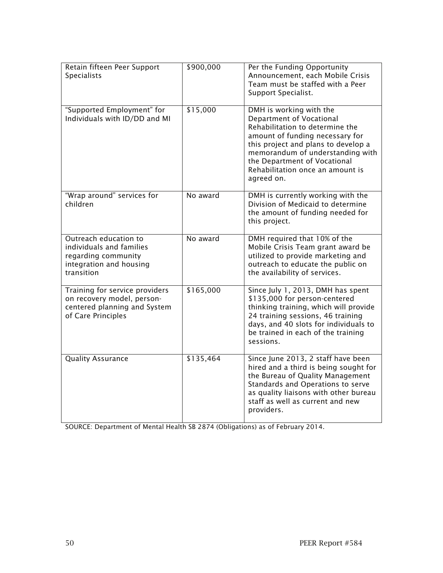| Retain fifteen Peer Support<br><b>Specialists</b>                                                                  | \$900,000 | Per the Funding Opportunity<br>Announcement, each Mobile Crisis<br>Team must be staffed with a Peer<br>Support Specialist.                                                                                                                                                             |
|--------------------------------------------------------------------------------------------------------------------|-----------|----------------------------------------------------------------------------------------------------------------------------------------------------------------------------------------------------------------------------------------------------------------------------------------|
| "Supported Employment" for<br>Individuals with ID/DD and MI                                                        | \$15,000  | DMH is working with the<br>Department of Vocational<br>Rehabilitation to determine the<br>amount of funding necessary for<br>this project and plans to develop a<br>memorandum of understanding with<br>the Department of Vocational<br>Rehabilitation once an amount is<br>agreed on. |
| "Wrap around" services for<br>children                                                                             | No award  | DMH is currently working with the<br>Division of Medicaid to determine<br>the amount of funding needed for<br>this project.                                                                                                                                                            |
| Outreach education to<br>individuals and families<br>regarding community<br>integration and housing<br>transition  | No award  | DMH required that 10% of the<br>Mobile Crisis Team grant award be<br>utilized to provide marketing and<br>outreach to educate the public on<br>the availability of services.                                                                                                           |
| Training for service providers<br>on recovery model, person-<br>centered planning and System<br>of Care Principles | \$165,000 | Since July 1, 2013, DMH has spent<br>\$135,000 for person-centered<br>thinking training, which will provide<br>24 training sessions, 46 training<br>days, and 40 slots for individuals to<br>be trained in each of the training<br>sessions.                                           |
| <b>Quality Assurance</b>                                                                                           | \$135,464 | Since June 2013, 2 staff have been<br>hired and a third is being sought for<br>the Bureau of Quality Management<br>Standards and Operations to serve<br>as quality liaisons with other bureau<br>staff as well as current and new<br>providers.                                        |

SOURCE: Department of Mental Health SB 2874 (Obligations) as of February 2014.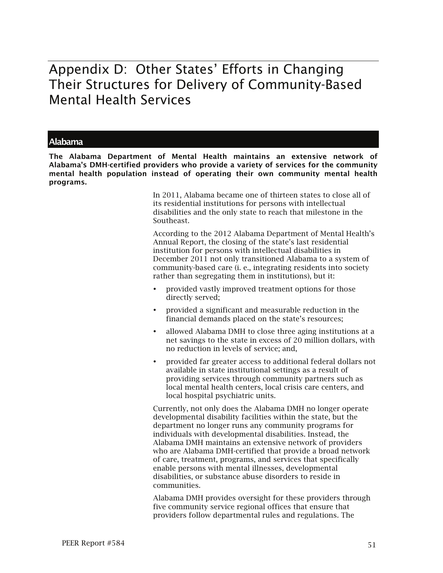## Appendix D: Other States' Efforts in Changing Their Structures for Delivery of Community-Based Mental Health Services

### Alabama

The Alabama Department of Mental Health maintains an extensive network of Alabama's DMH-certified providers who provide a variety of services for the community mental health population instead of operating their own community mental health programs.

> In 2011, Alabama became one of thirteen states to close all of its residential institutions for persons with intellectual disabilities and the only state to reach that milestone in the Southeast.

According to the 2012 Alabama Department of Mental Health's Annual Report, the closing of the state's last residential institution for persons with intellectual disabilities in December 2011 not only transitioned Alabama to a system of community-based care (i. e., integrating residents into society rather than segregating them in institutions), but it:

- provided vastly improved treatment options for those directly served;
- provided a significant and measurable reduction in the financial demands placed on the state's resources;
- allowed Alabama DMH to close three aging institutions at a net savings to the state in excess of 20 million dollars, with no reduction in levels of service; and,
- provided far greater access to additional federal dollars not available in state institutional settings as a result of providing services through community partners such as local mental health centers, local crisis care centers, and local hospital psychiatric units.

Currently, not only does the Alabama DMH no longer operate developmental disability facilities within the state, but the department no longer runs any community programs for individuals with developmental disabilities. Instead, the Alabama DMH maintains an extensive network of providers who are Alabama DMH-certified that provide a broad network of care, treatment, programs, and services that specifically enable persons with mental illnesses, developmental disabilities, or substance abuse disorders to reside in communities.

Alabama DMH provides oversight for these providers through five community service regional offices that ensure that providers follow departmental rules and regulations. The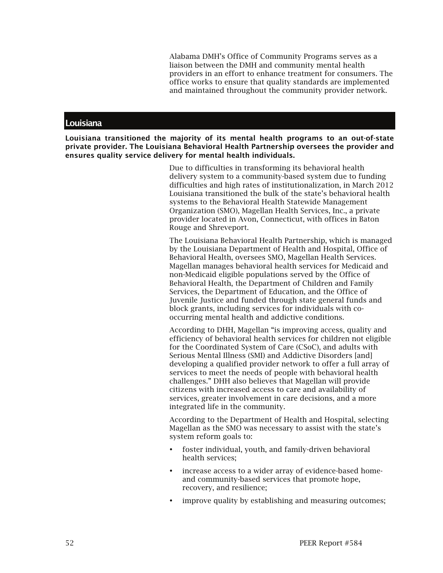Alabama DMH's Office of Community Programs serves as a liaison between the DMH and community mental health providers in an effort to enhance treatment for consumers. The office works to ensure that quality standards are implemented and maintained throughout the community provider network.

#### **Louisiana**

Louisiana transitioned the majority of its mental health programs to an out-of-state private provider. The Louisiana Behavioral Health Partnership oversees the provider and ensures quality service delivery for mental health individuals.

> Due to difficulties in transforming its behavioral health delivery system to a community-based system due to funding difficulties and high rates of institutionalization, in March 2012 Louisiana transitioned the bulk of the state's behavioral health systems to the Behavioral Health Statewide Management Organization (SMO), Magellan Health Services, Inc., a private provider located in Avon, Connecticut, with offices in Baton Rouge and Shreveport.

> The Louisiana Behavioral Health Partnership, which is managed by the Louisiana Department of Health and Hospital, Office of Behavioral Health, oversees SMO, Magellan Health Services. Magellan manages behavioral health services for Medicaid and non-Medicaid eligible populations served by the Office of Behavioral Health, the Department of Children and Family Services, the Department of Education, and the Office of Juvenile Justice and funded through state general funds and block grants, including services for individuals with cooccurring mental health and addictive conditions.

> According to DHH, Magellan "is improving access, quality and efficiency of behavioral health services for children not eligible for the Coordinated System of Care (CSoC), and adults with Serious Mental Illness (SMI) and Addictive Disorders [and] developing a qualified provider network to offer a full array of services to meet the needs of people with behavioral health challenges." DHH also believes that Magellan will provide citizens with increased access to care and availability of services, greater involvement in care decisions, and a more integrated life in the community.

> According to the Department of Health and Hospital, selecting Magellan as the SMO was necessary to assist with the state's system reform goals to:

- foster individual, youth, and family-driven behavioral health services;
- increase access to a wider array of evidence-based homeand community-based services that promote hope, recovery, and resilience;
- improve quality by establishing and measuring outcomes;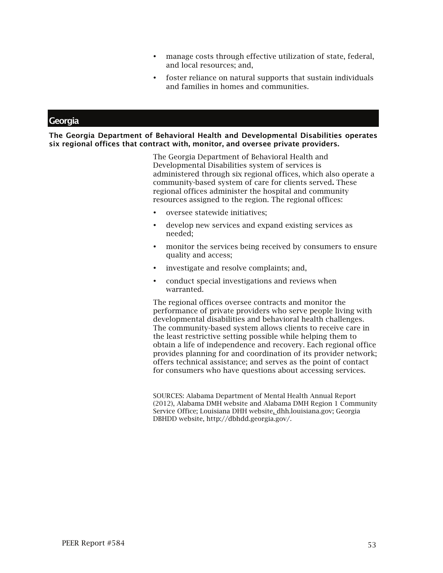- manage costs through effective utilization of state, federal, and local resources; and,
- foster reliance on natural supports that sustain individuals and families in homes and communities.

## **Georgia**

The Georgia Department of Behavioral Health and Developmental Disabilities operates six regional offices that contract with, monitor, and oversee private providers.

> The Georgia Department of Behavioral Health and Developmental Disabilities system of services is administered through six regional offices, which also operate a community-based system of care for clients served. These regional offices administer the hospital and community resources assigned to the region. The regional offices:

- oversee statewide initiatives;
- develop new services and expand existing services as needed;
- monitor the services being received by consumers to ensure quality and access;
- investigate and resolve complaints; and,
- conduct special investigations and reviews when warranted.

The regional offices oversee contracts and monitor the performance of private providers who serve people living with developmental disabilities and behavioral health challenges. The community-based system allows clients to receive care in the least restrictive setting possible while helping them to obtain a life of independence and recovery. Each regional office provides planning for and coordination of its provider network; offers technical assistance; and serves as the point of contact for consumers who have questions about accessing services.

SOURCES: Alabama Department of Mental Health Annual Report (2012), Alabama DMH website and Alabama DMH Region 1 Community Service Office; Louisiana DHH website, dhh.louisiana.gov; Georgia DBHDD website, http://dbhdd.georgia.gov/.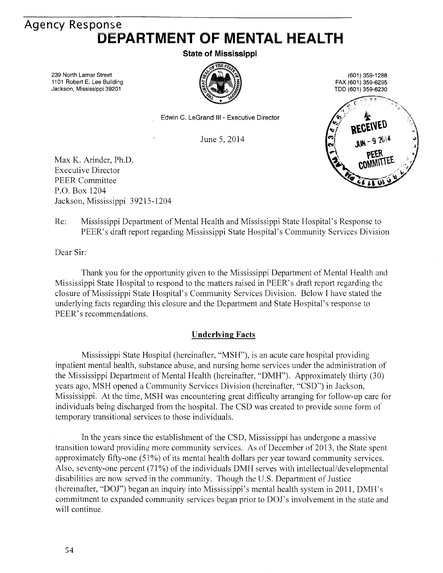## **Agency Response** DEPARTMENT OF MENTAL HEALTH

**State of Mississippi** 

239 North Lamar Street 1101 Robert E. Lee Building Jackson, Mississippi 39201



(601) 359-1288 FAX (601) 359-6295 TDD (601) 359-6230



Edwin C. LeGrand III - Executive Director

June 5, 2014

Max K. Arinder, Ph.D. **Executive Director PEER Committee** P.O. Box 1204 Jackson, Mississippi 39215-1204

Re: Mississippi Department of Mental Health and Mississippi State Hospital's Response to PEER's draft report regarding Mississippi State Hospital's Community Services Division

Dear Sir:

Thank you for the opportunity given to the Mississippi Department of Mental Health and Mississippi State Hospital to respond to the matters raised in PEER's draft report regarding the closure of Mississippi State Hospital's Community Services Division. Below I have stated the underlying facts regarding this closure and the Department and State Hospital's response to PEER's recommendations.

### **Underlying Facts**

Mississippi State Hospital (hereinafter, "MSH"), is an acute care hospital providing inpatient mental health, substance abuse, and nursing home services under the administration of the Mississippi Department of Mental Health (hereinafter, "DMH"). Approximately thirty (30) years ago, MSH opened a Community Services Division (hereinafter, "CSD") in Jackson, Mississippi. At the time, MSH was encountering great difficulty arranging for follow-up care for individuals being discharged from the hospital. The CSD was created to provide some form of temporary transitional services to those individuals.

In the years since the establishment of the CSD, Mississippi has undergone a massive transition toward providing more community services. As of December of 2013, the State spent approximately fifty-one (51%) of its mental health dollars per year toward community services. Also, seventy-one percent (71%) of the individuals DMH serves with intellectual/developmental disabilities are now served in the community. Though the U.S. Department of Justice (hereinafter, "DOJ") began an inquiry into Mississippi's mental health system in 2011, DMH's commitment to expanded community services began prior to DOJ's involvement in the state and will continue.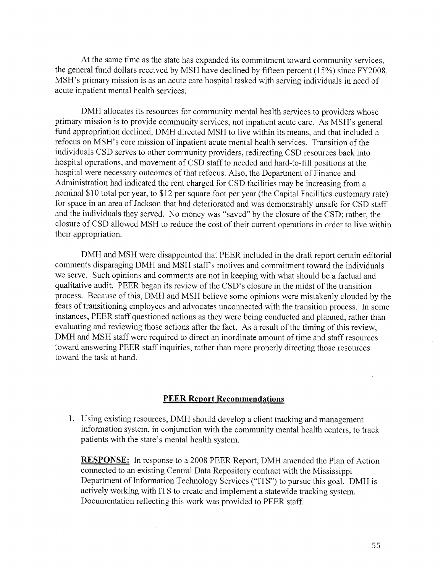At the same time as the state has expanded its commitment toward community services, the general fund dollars received by MSH have declined by fifteen percent (15%) since FY2008. MSH's primary mission is as an acute care hospital tasked with serving individuals in need of acute inpatient mental health services.

DMH allocates its resources for community mental health services to providers whose primary mission is to provide community services, not inpatient acute care. As MSH's general fund appropriation declined, DMH directed MSH to live within its means, and that included a refocus on MSH's core mission of inpatient acute mental health services. Transition of the individuals CSD serves to other community providers, redirecting CSD resources back into hospital operations, and movement of CSD staff to needed and hard-to-fill positions at the hospital were necessary outcomes of that refocus. Also, the Department of Finance and Administration had indicated the rent charged for CSD facilities may be increasing from a nominal \$10 total per year, to \$12 per square foot per year (the Capital Facilities customary rate) for space in an area of Jackson that had deteriorated and was demonstrably unsafe for CSD staff and the individuals they served. No money was "saved" by the closure of the CSD; rather, the closure of CSD allowed MSH to reduce the cost of their current operations in order to live within their appropriation.

DMH and MSH were disappointed that PEER included in the draft report certain editorial comments disparaging DMH and MSH staff's motives and commitment toward the individuals we serve. Such opinions and comments are not in keeping with what should be a factual and qualitative audit. PEER began its review of the CSD's closure in the midst of the transition process. Because of this, DMH and MSH believe some opinions were mistakenly clouded by the fears of transitioning employees and advocates unconnected with the transition process. In some instances, PEER staff questioned actions as they were being conducted and planned, rather than evaluating and reviewing those actions after the fact. As a result of the timing of this review, DMH and MSH staff were required to direct an inordinate amount of time and staff resources toward answering PEER staff inquiries, rather than more properly directing those resources toward the task at hand.

### **PEER Report Recommendations**

1. Using existing resources, DMH should develop a client tracking and management information system, in conjunction with the community mental health centers, to track patients with the state's mental health system.

**RESPONSE:** In response to a 2008 PEER Report, DMH amended the Plan of Action connected to an existing Central Data Repository contract with the Mississippi Department of Information Technology Services ("ITS") to pursue this goal. DMH is actively working with ITS to create and implement a statewide tracking system. Documentation reflecting this work was provided to PEER staff.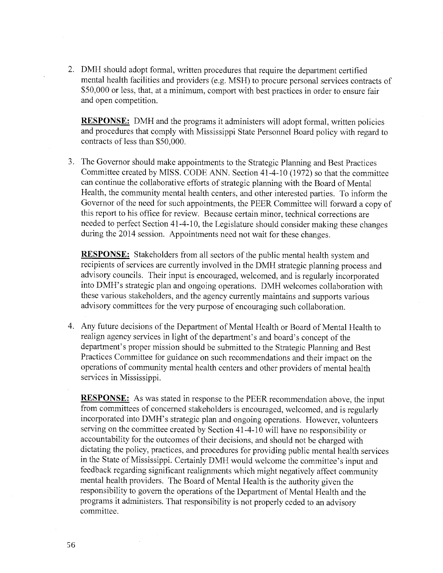2. DMH should adopt formal, written procedures that require the department certified mental health facilities and providers (e.g. MSH) to procure personal services contracts of \$50,000 or less, that, at a minimum, comport with best practices in order to ensure fair and open competition.

**RESPONSE:** DMH and the programs it administers will adopt formal, written policies and procedures that comply with Mississippi State Personnel Board policy with regard to contracts of less than \$50,000.

3. The Governor should make appointments to the Strategic Planning and Best Practices Committee created by MISS. CODE ANN. Section 41-4-10 (1972) so that the committee can continue the collaborative efforts of strategic planning with the Board of Mental Health, the community mental health centers, and other interested parties. To inform the Governor of the need for such appointments, the PEER Committee will forward a copy of this report to his office for review. Because certain minor, technical corrections are needed to perfect Section 41-4-10, the Legislature should consider making these changes during the 2014 session. Appointments need not wait for these changes.

**RESPONSE:** Stakeholders from all sectors of the public mental health system and recipients of services are currently involved in the DMH strategic planning process and advisory councils. Their input is encouraged, welcomed, and is regularly incorporated into DMH's strategic plan and ongoing operations. DMH welcomes collaboration with these various stakeholders, and the agency currently maintains and supports various advisory committees for the very purpose of encouraging such collaboration.

4. Any future decisions of the Department of Mental Health or Board of Mental Health to realign agency services in light of the department's and board's concept of the department's proper mission should be submitted to the Strategic Planning and Best Practices Committee for guidance on such recommendations and their impact on the operations of community mental health centers and other providers of mental health services in Mississippi.

**RESPONSE:** As was stated in response to the PEER recommendation above, the input from committees of concerned stakeholders is encouraged, welcomed, and is regularly incorporated into DMH's strategic plan and ongoing operations. However, volunteers serving on the committee created by Section 41-4-10 will have no responsibility or accountability for the outcomes of their decisions, and should not be charged with dictating the policy, practices, and procedures for providing public mental health services in the State of Mississippi. Certainly DMH would welcome the committee's input and feedback regarding significant realignments which might negatively affect community mental health providers. The Board of Mental Health is the authority given the responsibility to govern the operations of the Department of Mental Health and the programs it administers. That responsibility is not properly ceded to an advisory committee.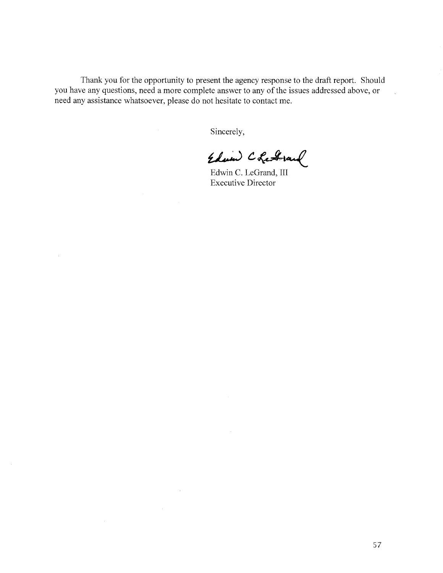Thank you for the opportunity to present the agency response to the draft report. Should you have any questions, need a more complete answer to any of the issues addressed above, or need any assistance whatsoever, please do not hesitate to contact me.

Sincerely,

Edward Chefrand

Edwin C. LeGrand, III **Executive Director**